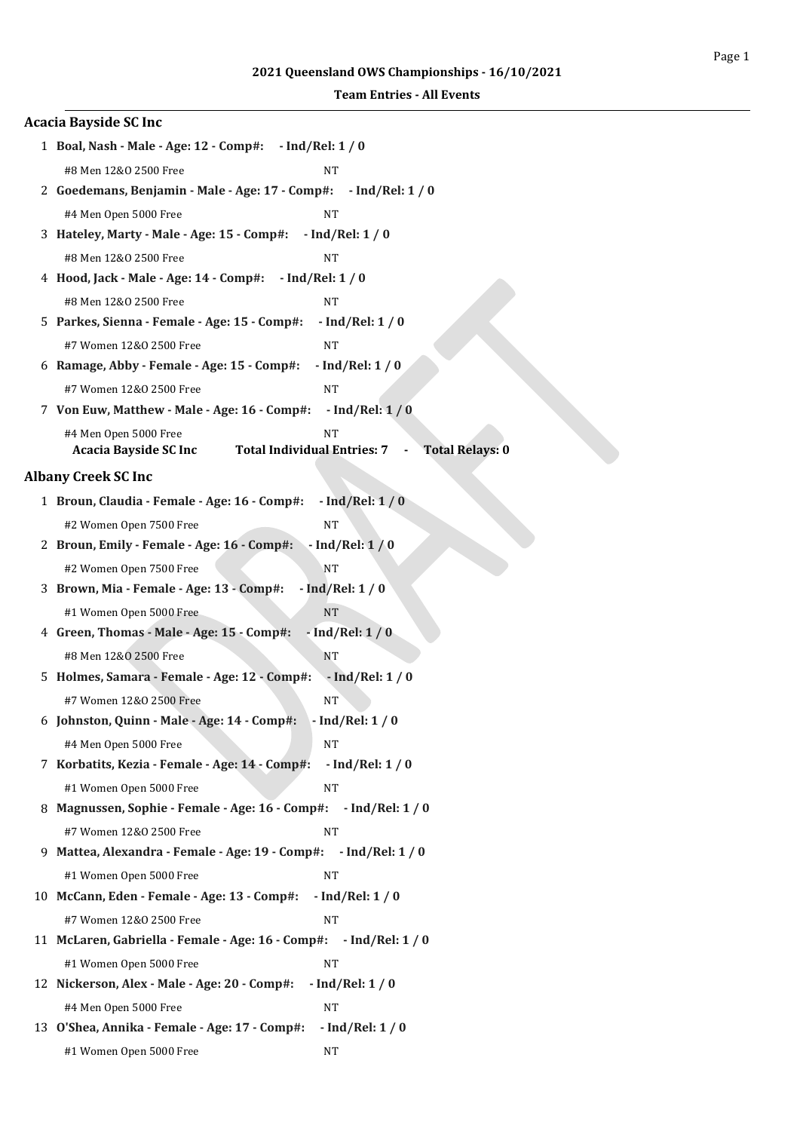| <b>Acacia Bayside SC Inc</b>                                                 |                                 |
|------------------------------------------------------------------------------|---------------------------------|
| 1 Boal, Nash - Male - Age: 12 - Comp#:                                       | $-$ Ind/Rel: 1 / 0              |
| #8 Men 12&0 2500 Free                                                        | NΤ                              |
| 2 Goedemans, Benjamin - Male - Age: 17 - Comp#:                              | $-$ Ind/Rel: 1 / 0              |
| #4 Men Open 5000 Free                                                        | <b>NT</b>                       |
| 3 Hateley, Marty - Male - Age: 15 - Comp#:                                   | $-$ Ind/Rel: 1 / 0              |
| #8 Men 12&0 2500 Free                                                        | <b>NT</b>                       |
| 4 Hood, Jack - Male - Age: 14 - Comp#:                                       | $-$ Ind/Rel: 1 / 0              |
| #8 Men 12&0 2500 Free                                                        | <b>NT</b>                       |
| 5 Parkes, Sienna - Female - Age: 15 - Comp#:                                 | $-$ Ind/Rel: 1 / 0              |
| #7 Women 12&0 2500 Free                                                      | <b>NT</b>                       |
| 6 Ramage, Abby - Female - Age: 15 - Comp#:                                   | $-$ Ind/Rel: $1/0$              |
| #7 Women 12&0 2500 Free                                                      | <b>NT</b>                       |
| 7 Von Euw, Matthew - Male - Age: 16 - Comp#:                                 | $-$ Ind/Rel: $1/0$              |
| #4 Men Open 5000 Free<br><b>Total Individual Entries: 7</b>                  | <b>NT</b>                       |
| <b>Acacia Bayside SC Inc</b>                                                 | <b>Total Relays: 0</b>          |
| <b>Albany Creek SC Inc</b>                                                   |                                 |
| 1 Broun, Claudia - Female - Age: 16 - Comp#:                                 | $-$ Ind/Rel: $1/0$              |
| #2 Women Open 7500 Free                                                      | $\rm{NT}$                       |
| 2 Broun, Emily - Female - Age: 16 - Comp#:                                   | $-$ Ind/Rel: $1/0$              |
| #2 Women Open 7500 Free                                                      | NT                              |
| 3 Brown, Mia - Female - Age: 13 - Comp#:                                     | $-$ Ind/Rel: $1/0$              |
| #1 Women Open 5000 Free                                                      | <b>NT</b>                       |
| 4 Green, Thomas - Male - Age: 15 - Comp#:                                    | $-$ Ind/Rel: $1/0$              |
| #8 Men 12&0 2500 Free                                                        | NT                              |
| 5 Holmes, Samara - Female - Age: 12 - Comp#:                                 | $-$ Ind/Rel: 1 / 0              |
| #7 Women 12&0 2500 Free                                                      | NΤ                              |
| 6 Johnston, Quinn - Male - Age: 14 - Comp#:                                  | - Ind/Rel: 1 / 0                |
| #4 Men Open 5000 Free                                                        | <b>NT</b>                       |
| 7 Korbatits, Kezia - Female - Age: 14 - Comp#:                               | $-$ Ind/Rel: 1 / 0              |
| #1 Women Open 5000 Free                                                      | <b>NT</b>                       |
| 8 Magnussen, Sophie - Female - Age: 16 - Comp#:                              | $-$ Ind/Rel: 1 / 0              |
| #7 Women 12&0 2500 Free                                                      | NT                              |
| 9 Mattea, Alexandra - Female - Age: 19 - Comp#: - Ind/Rel: 1 / 0             |                                 |
| #1 Women Open 5000 Free                                                      | <b>NT</b>                       |
| 10 McCann, Eden - Female - Age: 13 - Comp#:                                  | $-$ Ind/Rel: 1 / 0              |
| #7 Women 12&0 2500 Free<br>11 McLaren, Gabriella - Female - Age: 16 - Comp#: | <b>NT</b>                       |
|                                                                              | $-$ Ind/Rel: 1 / 0              |
| #1 Women Open 5000 Free<br>12 Nickerson, Alex - Male - Age: 20 - Comp#:      | <b>NT</b>                       |
|                                                                              | $-$ Ind/Rel: $1/0$              |
| #4 Men Open 5000 Free<br>13 O'Shea, Annika - Female - Age: 17 - Comp#:       | <b>NT</b><br>$-$ Ind/Rel: $1/0$ |
| #1 Women Open 5000 Free                                                      | NT                              |
|                                                                              |                                 |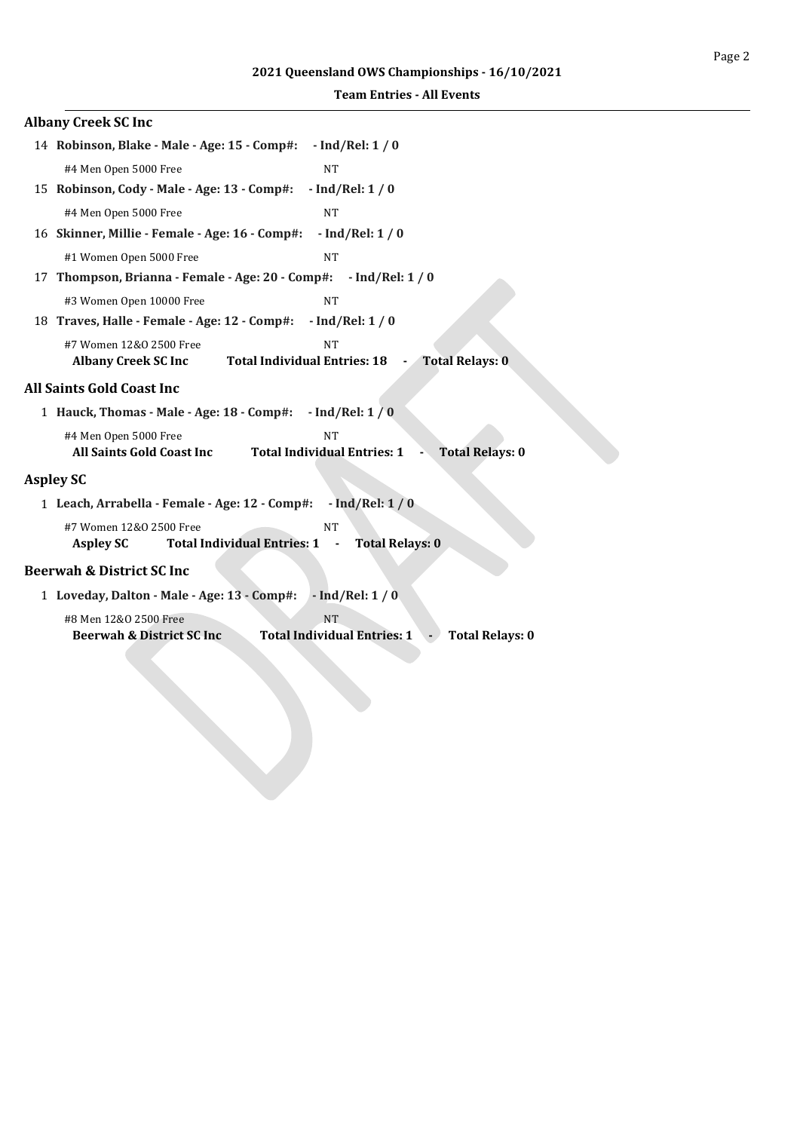### **Albany Creek SC Inc**

| 14 Robinson, Blake - Male - Age: 15 - Comp#: - Ind/Rel: 1 / 0                 |                                                                           |
|-------------------------------------------------------------------------------|---------------------------------------------------------------------------|
| #4 Men Open 5000 Free                                                         | <b>NT</b>                                                                 |
| 15 Robinson, Cody - Male - Age: 13 - Comp#:                                   | $-$ Ind/Rel: 1 / 0                                                        |
| #4 Men Open 5000 Free                                                         | <b>NT</b>                                                                 |
| 16 Skinner, Millie - Female - Age: 16 - Comp#:                                | $-$ Ind/Rel: 1 / 0                                                        |
| #1 Women Open 5000 Free                                                       | <b>NT</b>                                                                 |
| 17 Thompson, Brianna - Female - Age: 20 - Comp#: - Ind/Rel: 1 / 0             |                                                                           |
| #3 Women Open 10000 Free                                                      | <b>NT</b>                                                                 |
| 18 Traves, Halle - Female - Age: 12 - Comp#: - Ind/Rel: 1 / 0                 |                                                                           |
| #7 Women 12&0 2500 Free<br>Albany Creek SC Inc Total Individual Entries: 18 - | <b>NT</b><br><b>Total Relays: 0</b>                                       |
| All Saints Gold Coast Inc                                                     |                                                                           |
| 1 Hauck, Thomas - Male - Age: 18 - Comp#: - Ind/Rel: 1 / 0                    |                                                                           |
| #4 Men Open 5000 Free<br><b>All Saints Gold Coast Inc</b>                     | <b>NT</b><br><b>Total Individual Entries: 1</b><br><b>Total Relays: 0</b> |
| <b>Aspley SC</b>                                                              |                                                                           |
| 1 Leach, Arrabella - Female - Age: 12 - Comp#: - Ind/Rel: 1 / 0               |                                                                           |
| #7 Women 12&0 2500 Free<br>Total Individual Entries: 1 -<br><b>Aspley SC</b>  | <b>NT</b><br><b>Total Relays: 0</b>                                       |
| <b>Beerwah &amp; District SC Inc</b>                                          |                                                                           |
| 1 Loveday, Dalton - Male - Age: 13 - Comp#: - Ind/Rel: 1 / 0                  |                                                                           |
| #8 Men 12&0 2500 Free                                                         | <b>NT</b>                                                                 |
| <b>Beerwah &amp; District SC Inc.</b>                                         | <b>Total Individual Entries: 1</b><br><b>Total Relays: 0</b>              |
|                                                                               |                                                                           |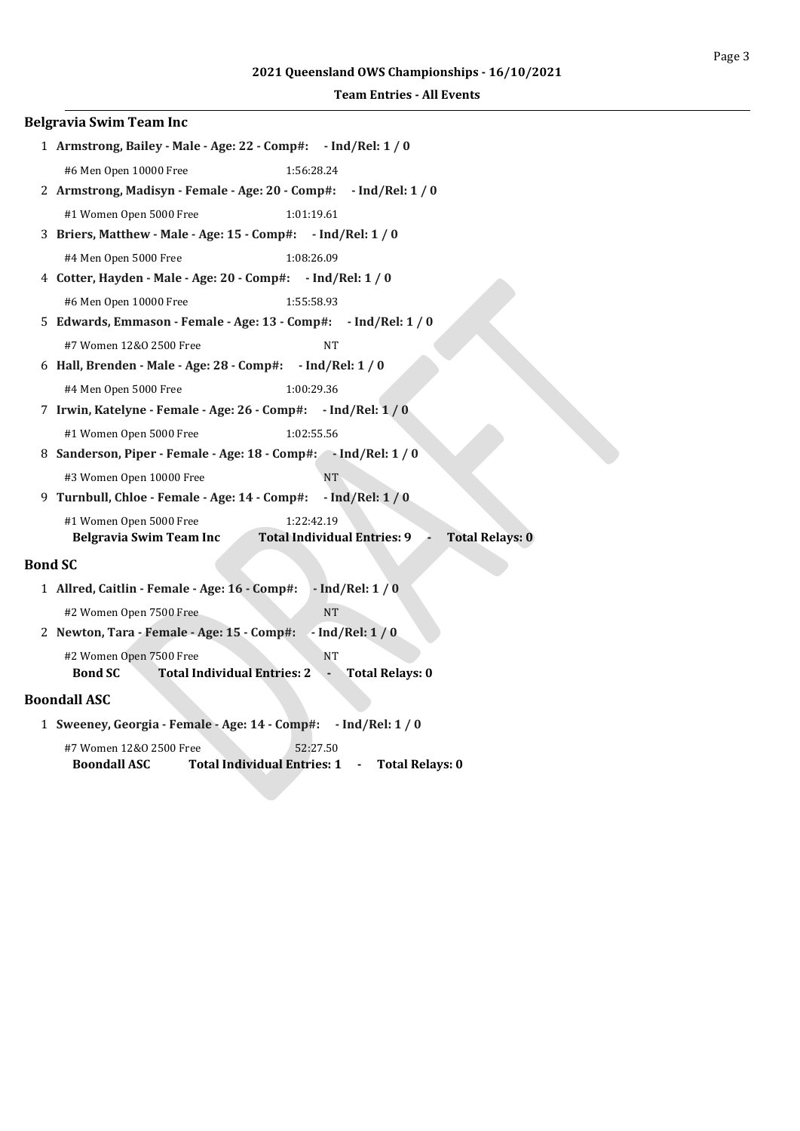|                | <b>Belgravia Swim Team Inc</b>                                                                                                   |
|----------------|----------------------------------------------------------------------------------------------------------------------------------|
|                | 1 Armstrong, Bailey - Male - Age: 22 - Comp#: - Ind/Rel: 1 / 0                                                                   |
|                | #6 Men Open 10000 Free<br>1:56:28.24                                                                                             |
|                | 2 Armstrong, Madisyn - Female - Age: 20 - Comp#: - Ind/Rel: 1 / 0                                                                |
|                | #1 Women Open 5000 Free<br>1:01:19.61                                                                                            |
|                | 3 Briers, Matthew - Male - Age: 15 - Comp#: - Ind/Rel: 1 / 0                                                                     |
|                | #4 Men Open 5000 Free<br>1:08:26.09                                                                                              |
|                | 4 Cotter, Hayden - Male - Age: 20 - Comp#: - Ind/Rel: 1 / 0                                                                      |
|                | #6 Men Open 10000 Free<br>1:55:58.93                                                                                             |
|                | 5 Edwards, Emmason - Female - Age: 13 - Comp#: - Ind/Rel: 1 / 0                                                                  |
|                | #7 Women 12&0 2500 Free<br><b>NT</b>                                                                                             |
|                | 6 Hall, Brenden - Male - Age: 28 - Comp#: - Ind/Rel: 1 / 0                                                                       |
|                | #4 Men Open 5000 Free<br>1:00:29.36                                                                                              |
|                | 7 Irwin, Katelyne - Female - Age: 26 - Comp#: - Ind/Rel: 1 / 0                                                                   |
|                | #1 Women Open 5000 Free<br>1:02:55.56                                                                                            |
|                | 8 Sanderson, Piper - Female - Age: 18 - Comp#: - Ind/Rel: 1 / 0                                                                  |
|                | #3 Women Open 10000 Free<br><b>NT</b>                                                                                            |
|                | 9 Turnbull, Chloe - Female - Age: 14 - Comp#:<br>$-$ Ind/Rel: 1 / 0                                                              |
|                | #1 Women Open 5000 Free<br>1:22:42.19                                                                                            |
|                | <b>Belgravia Swim Team Inc</b><br><b>Total Individual Entries: 9</b><br><b>Total Relays: 0</b>                                   |
| <b>Bond SC</b> |                                                                                                                                  |
|                | 1 Allred, Caitlin - Female - Age: 16 - Comp#:<br>$-$ Ind/Rel: 1 / 0                                                              |
|                | #2 Women Open 7500 Free<br><b>NT</b>                                                                                             |
|                | $-$ Ind/Rel: $1/0$<br>2 Newton, Tara - Female - Age: 15 - Comp#:                                                                 |
|                | #2 Women Open 7500 Free<br><b>NT</b><br><b>Total Individual Entries: 2</b><br><b>Bond SC</b><br><b>Total Relays: 0</b><br>$\sim$ |

### **Boondall ASC**

```
1 Sweeney, Georgia - Female - Age: 14 - Comp#: - Ind/Rel: 1 / 0
```

| #7 Women 12&0 2500 Free | 52:27.50                           |                        |
|-------------------------|------------------------------------|------------------------|
| <b>Boondall ASC</b>     | <b>Total Individual Entries: 1</b> | <b>Total Relays: 0</b> |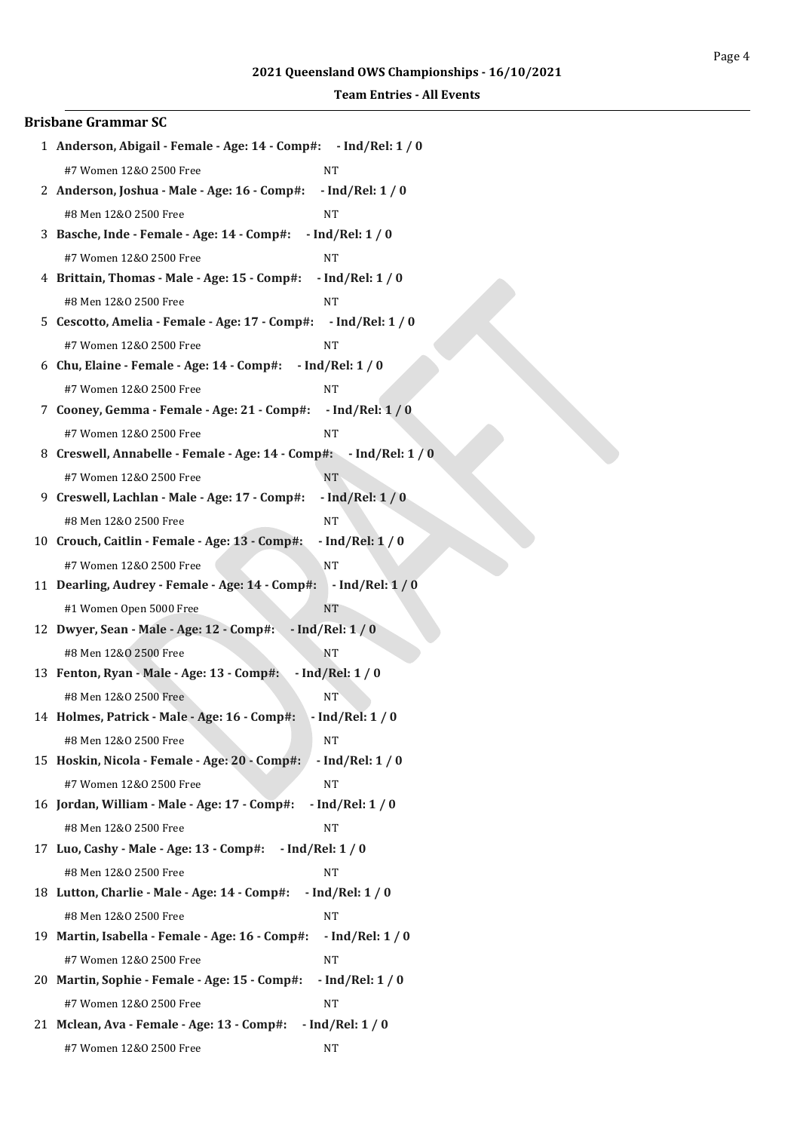| <b>Brisbane Grammar SC</b>                                         |                    |
|--------------------------------------------------------------------|--------------------|
| 1 Anderson, Abigail - Female - Age: 14 - Comp#: - Ind/Rel: 1 / 0   |                    |
| #7 Women 12&0 2500 Free                                            | NT                 |
| 2 Anderson, Joshua - Male - Age: 16 - Comp#:                       | $-$ Ind/Rel: 1 / 0 |
| #8 Men 12&0 2500 Free                                              | <b>NT</b>          |
| 3 Basche, Inde - Female - Age: 14 - Comp#: - Ind/Rel: 1 / 0        |                    |
| #7 Women 12&0 2500 Free                                            | NΤ                 |
| 4 Brittain, Thomas - Male - Age: 15 - Comp#:                       | $-$ Ind/Rel: 1 / 0 |
| #8 Men 12&0 2500 Free                                              | <b>NT</b>          |
| 5 Cescotto, Amelia - Female - Age: 17 - Comp#: - Ind/Rel: 1 / 0    |                    |
| #7 Women 12&0 2500 Free                                            | NT                 |
| 6 Chu, Elaine - Female - Age: 14 - Comp#: - Ind/Rel: 1 / 0         |                    |
| #7 Women 12&0 2500 Free                                            | <b>NT</b>          |
| 7 Cooney, Gemma - Female - Age: 21 - Comp#:                        | $-$ Ind/Rel: $1/0$ |
| #7 Women 12&0 2500 Free                                            | NT                 |
| 8 Creswell, Annabelle - Female - Age: 14 - Comp#: - Ind/Rel: 1 / 0 |                    |
| #7 Women 12&0 2500 Free                                            | <b>NT</b>          |
| 9 Creswell, Lachlan - Male - Age: 17 - Comp#:                      | $-$ Ind/Rel: $1/0$ |
| #8 Men 12&0 2500 Free                                              | <b>NT</b>          |
| 10 Crouch, Caitlin - Female - Age: 13 - Comp#:                     | $-$ Ind/Rel: $1/0$ |
| #7 Women 12&0 2500 Free                                            | <b>NT</b>          |
| 11 Dearling, Audrey - Female - Age: 14 - Comp#: - Ind/Rel: 1 / 0   |                    |
| #1 Women Open 5000 Free                                            | <b>NT</b>          |
| 12 Dwyer, Sean - Male - Age: 12 - Comp#: - Ind/Rel: 1 / 0          |                    |
| #8 Men 12&0 2500 Free                                              | NT                 |
| 13 Fenton, Ryan - Male - Age: 13 - Comp#:                          | $-$ Ind/Rel: $1/0$ |
| #8 Men 12&0 2500 Free                                              | NT <sup></sup>     |
| 14 Holmes, Patrick - Male - Age: 16 - Comp#:                       | $-$ Ind/Rel: 1 / 0 |
| #8 Men 12&0 2500 Free                                              | NT                 |
| 15 Hoskin, Nicola - Female - Age: 20 - Comp#:                      | $-$ Ind/Rel: 1 / 0 |
| #7 Women 12&0 2500 Free                                            | NΤ                 |
| 16 Jordan, William - Male - Age: 17 - Comp#:                       | $-$ Ind/Rel: 1 / 0 |
| #8 Men 12&0 2500 Free                                              | NT                 |
| 17 Luo, Cashy - Male - Age: 13 - Comp#: - Ind/Rel: 1 / 0           |                    |
| #8 Men 12&0 2500 Free                                              | <b>NT</b>          |
| 18 Lutton, Charlie - Male - Age: 14 - Comp#:                       | $-$ Ind/Rel: 1 / 0 |
| #8 Men 12&0 2500 Free                                              | <b>NT</b>          |
| 19 Martin, Isabella - Female - Age: 16 - Comp#:                    | $-$ Ind/Rel: $1/0$ |
| #7 Women 12&0 2500 Free                                            | NT                 |
| 20 Martin, Sophie - Female - Age: 15 - Comp#:                      | $-$ Ind/Rel: $1/0$ |
| #7 Women 12&0 2500 Free                                            | <b>NT</b>          |
| 21 Mclean, Ava - Female - Age: 13 - Comp#:                         | $-$ Ind/Rel: $1/0$ |
| #7 Women 12&0 2500 Free                                            | NT                 |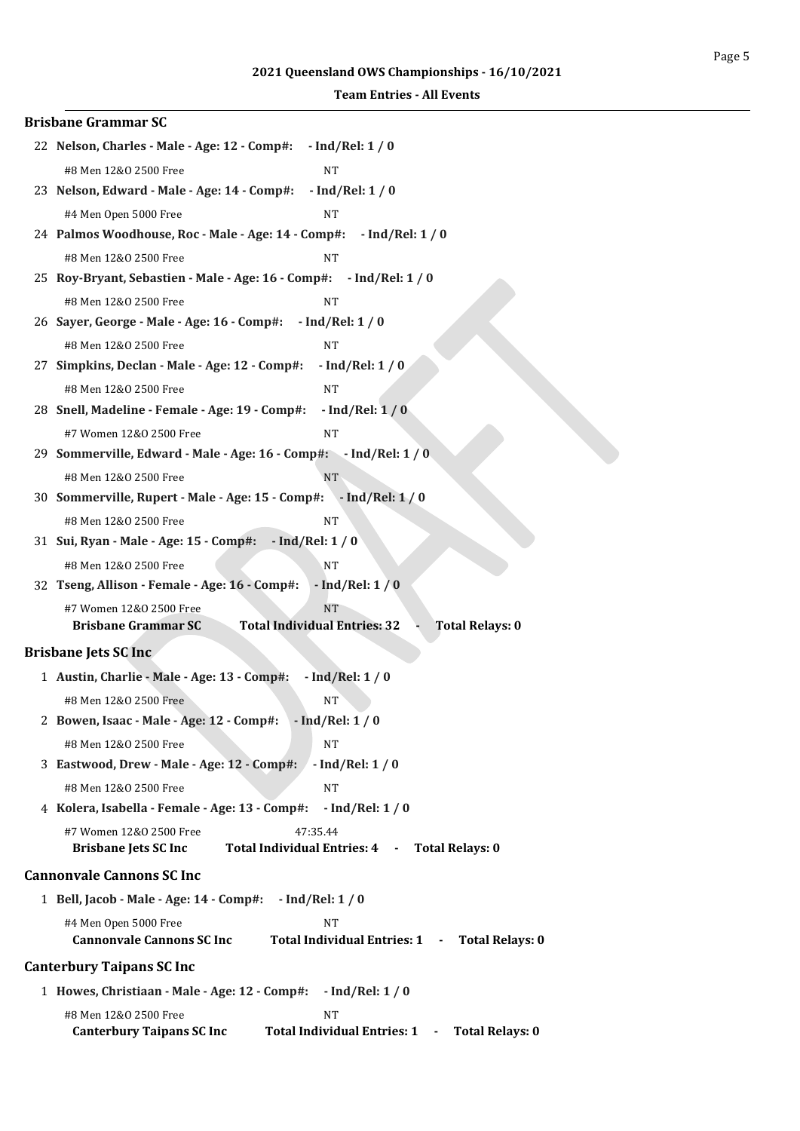| <b>Brisbane Grammar SC</b>                                                                                                        |
|-----------------------------------------------------------------------------------------------------------------------------------|
| 22 Nelson, Charles - Male - Age: 12 - Comp#:<br>$-$ Ind/Rel: $1/0$                                                                |
| #8 Men 12&0 2500 Free<br><b>NT</b>                                                                                                |
| 23 Nelson, Edward - Male - Age: 14 - Comp#:<br>$-$ Ind/Rel: $1/0$                                                                 |
| #4 Men Open 5000 Free<br>NT                                                                                                       |
| 24 Palmos Woodhouse, Roc - Male - Age: 14 - Comp#:<br>- Ind/Rel: 1 / 0                                                            |
| #8 Men 12&0 2500 Free<br>NT                                                                                                       |
| 25 Roy-Bryant, Sebastien - Male - Age: 16 - Comp#: - Ind/Rel: 1 / 0                                                               |
| #8 Men 12&0 2500 Free<br><b>NT</b>                                                                                                |
| $-$ Ind/Rel: 1 / 0<br>26 Sayer, George - Male - Age: 16 - Comp#:                                                                  |
| #8 Men 12&0 2500 Free<br><b>NT</b>                                                                                                |
| 27 Simpkins, Declan - Male - Age: 12 - Comp#:<br>$-$ Ind/Rel: 1 / 0                                                               |
| #8 Men 12&0 2500 Free<br><b>NT</b>                                                                                                |
| 28 Snell, Madeline - Female - Age: 19 - Comp#:<br>$-$ Ind/Rel: $1/0$                                                              |
| #7 Women 12&0 2500 Free<br>NT                                                                                                     |
| 29 Sommerville, Edward - Male - Age: 16 - Comp#: - Ind/Rel: 1 / 0                                                                 |
| #8 Men 12&0 2500 Free<br>NT.                                                                                                      |
| 30 Sommerville, Rupert - Male - Age: 15 - Comp#: - Ind/Rel: 1 / 0                                                                 |
| #8 Men 12&0 2500 Free<br><b>NT</b>                                                                                                |
| 31 Sui, Ryan - Male - Age: 15 - Comp#: - Ind/Rel: 1 / 0                                                                           |
| #8 Men 12&0 2500 Free<br><b>NT</b>                                                                                                |
| 32 Tseng, Allison - Female - Age: 16 - Comp#:<br>$-$ Ind/Rel: $1/0$                                                               |
| <b>NT</b><br>#7 Women 12&0 2500 Free                                                                                              |
| <b>Brisbane Grammar SC</b><br><b>Total Individual Entries: 32</b><br><b>Total Relays: 0</b>                                       |
| <b>Brisbane Jets SC Inc.</b>                                                                                                      |
| 1 Austin, Charlie - Male - Age: 13 - Comp#:<br>$-$ Ind/Rel: 1 / 0                                                                 |
| #8 Men 12&0 2500 Free<br>NΤ                                                                                                       |
| 2 Bowen, Isaac - Male - Age: 12 - Comp#: - Ind/Rel: 1 / 0                                                                         |
| <b>NT</b><br>#8 Men 12&0 2500 Free                                                                                                |
| 3 Eastwood, Drew - Male - Age: 12 - Comp#:<br>$-$ Ind/Rel: 1 / 0                                                                  |
| #8 Men 12&0 2500 Free<br><b>NT</b>                                                                                                |
| 4 Kolera, Isabella - Female - Age: 13 - Comp#:<br>$-$ Ind/Rel: 1 / 0                                                              |
| #7 Women 12&0 2500 Free<br>47:35.44                                                                                               |
| <b>Brisbane Jets SC Inc</b><br>Total Individual Entries: 4 -<br><b>Total Relays: 0</b>                                            |
| <b>Cannonvale Cannons SC Inc.</b>                                                                                                 |
| $-$ Ind/Rel: 1 / 0<br>1 Bell, Jacob - Male - Age: 14 - Comp#:                                                                     |
| #4 Men Open 5000 Free<br><b>NT</b><br><b>Cannonvale Cannons SC Inc</b><br>Total Individual Entries: 1 - Total Relays: 0           |
| <b>Canterbury Taipans SC Inc</b>                                                                                                  |
| 1 Howes, Christiaan - Male - Age: 12 - Comp#:<br>$-$ Ind/Rel: 1 / 0                                                               |
| #8 Men 12&0 2500 Free<br><b>NT</b><br>Total Individual Entries: 1 -<br><b>Canterbury Taipans SC Inc</b><br><b>Total Relays: 0</b> |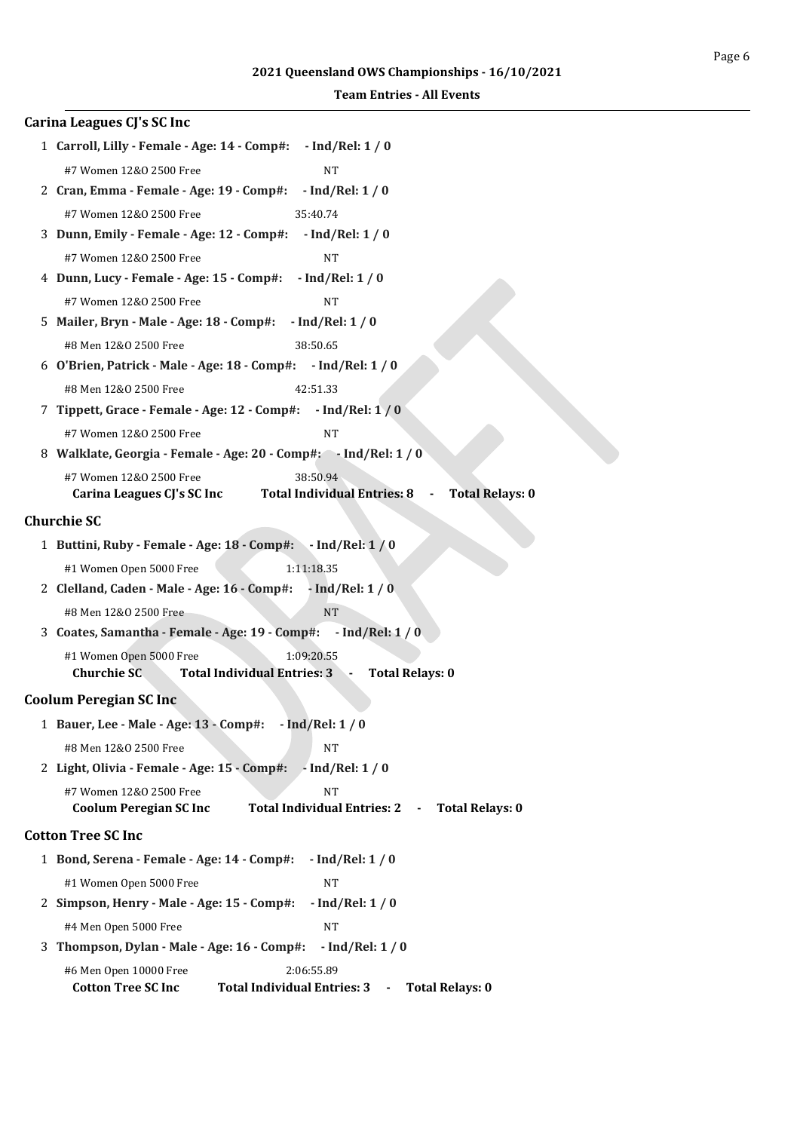| Carina Leagues CJ's SC Inc                                                                                                                                            |
|-----------------------------------------------------------------------------------------------------------------------------------------------------------------------|
| 1 Carroll, Lilly - Female - Age: 14 - Comp#: - Ind/Rel: 1 / 0                                                                                                         |
| #7 Women 12&0 2500 Free<br><b>NT</b>                                                                                                                                  |
| 2 Cran, Emma - Female - Age: 19 - Comp#:<br>$-$ Ind/Rel: 1 / 0                                                                                                        |
| #7 Women 12&0 2500 Free<br>35:40.74                                                                                                                                   |
| 3 Dunn, Emily - Female - Age: 12 - Comp#:<br>$-$ Ind/Rel: $1/0$                                                                                                       |
| #7 Women 12&0 2500 Free<br>NT                                                                                                                                         |
| 4 Dunn, Lucy - Female - Age: 15 - Comp#:<br>$-$ Ind/Rel: 1 / 0                                                                                                        |
| #7 Women 12&0 2500 Free<br><b>NT</b>                                                                                                                                  |
| 5 Mailer, Bryn - Male - Age: 18 - Comp#:<br>$-$ Ind/Rel: 1 / 0                                                                                                        |
| #8 Men 12&0 2500 Free<br>38:50.65                                                                                                                                     |
| 6 O'Brien, Patrick - Male - Age: 18 - Comp#: - Ind/Rel: 1 / 0                                                                                                         |
| #8 Men 12&0 2500 Free<br>42:51.33                                                                                                                                     |
| 7 Tippett, Grace - Female - Age: 12 - Comp#: - Ind/Rel: 1 / 0                                                                                                         |
| #7 Women 12&0 2500 Free<br><b>NT</b>                                                                                                                                  |
| 8 Walklate, Georgia - Female - Age: 20 - Comp#: - Ind/Rel: 1 / 0                                                                                                      |
| #7 Women 12&0 2500 Free<br>38:50.94<br><b>Total Individual Entries: 8</b><br><b>Total Relays: 0</b><br>Carina Leagues CJ's SC Inc                                     |
| <b>Churchie SC</b>                                                                                                                                                    |
| 1 Buttini, Ruby - Female - Age: 18 - Comp#: - Ind/Rel: 1 / 0                                                                                                          |
| 1:11:18.35<br>#1 Women Open 5000 Free                                                                                                                                 |
| 2 Clelland, Caden - Male - Age: 16 - Comp#:<br>$-$ Ind/Rel: 1 / 0                                                                                                     |
| #8 Men 12&0 2500 Free<br><b>NT</b>                                                                                                                                    |
| 3 Coates, Samantha - Female - Age: 19 - Comp#: - Ind/Rel: 1 / 0                                                                                                       |
| #1 Women Open 5000 Free<br>1:09:20.55                                                                                                                                 |
| Churchie SC<br><b>Total Individual Entries: 3</b><br><b>Total Relays: 0</b><br>÷                                                                                      |
| <b>Coolum Peregian SC Inc</b>                                                                                                                                         |
| 1 Bauer, Lee - Male - Age: 13 - Comp#:<br>$-$ Ind/Rel: $1/0$                                                                                                          |
| #8 Men 12&0 2500 Free<br><b>NT</b>                                                                                                                                    |
| 2 Light, Olivia - Female - Age: 15 - Comp#:<br>$-$ Ind/Rel: 1 / 0                                                                                                     |
| #7 Women 12&0 2500 Free<br><b>NT</b><br><b>Total Individual Entries: 2</b><br><b>Coolum Peregian SC Inc</b><br><b>Total Relays: 0</b><br>$\qquad \qquad \blacksquare$ |
| <b>Cotton Tree SC Inc</b>                                                                                                                                             |
|                                                                                                                                                                       |
| 1 Bond, Serena - Female - Age: 14 - Comp#:<br>$-$ Ind/Rel: 1 / 0                                                                                                      |
| #1 Women Open 5000 Free<br><b>NT</b>                                                                                                                                  |
| 2 Simpson, Henry - Male - Age: 15 - Comp#:<br>$-$ Ind/Rel: $1/0$                                                                                                      |
| #4 Men Open 5000 Free<br><b>NT</b><br>3 Thompson, Dylan - Male - Age: 16 - Comp#:                                                                                     |
| $-$ Ind/Rel: 1 / 0                                                                                                                                                    |
| #6 Men Open 10000 Free<br>2:06:55.89<br><b>Cotton Tree SC Inc</b><br><b>Total Individual Entries: 3</b><br><b>Total Relays: 0</b><br>$\blacksquare$                   |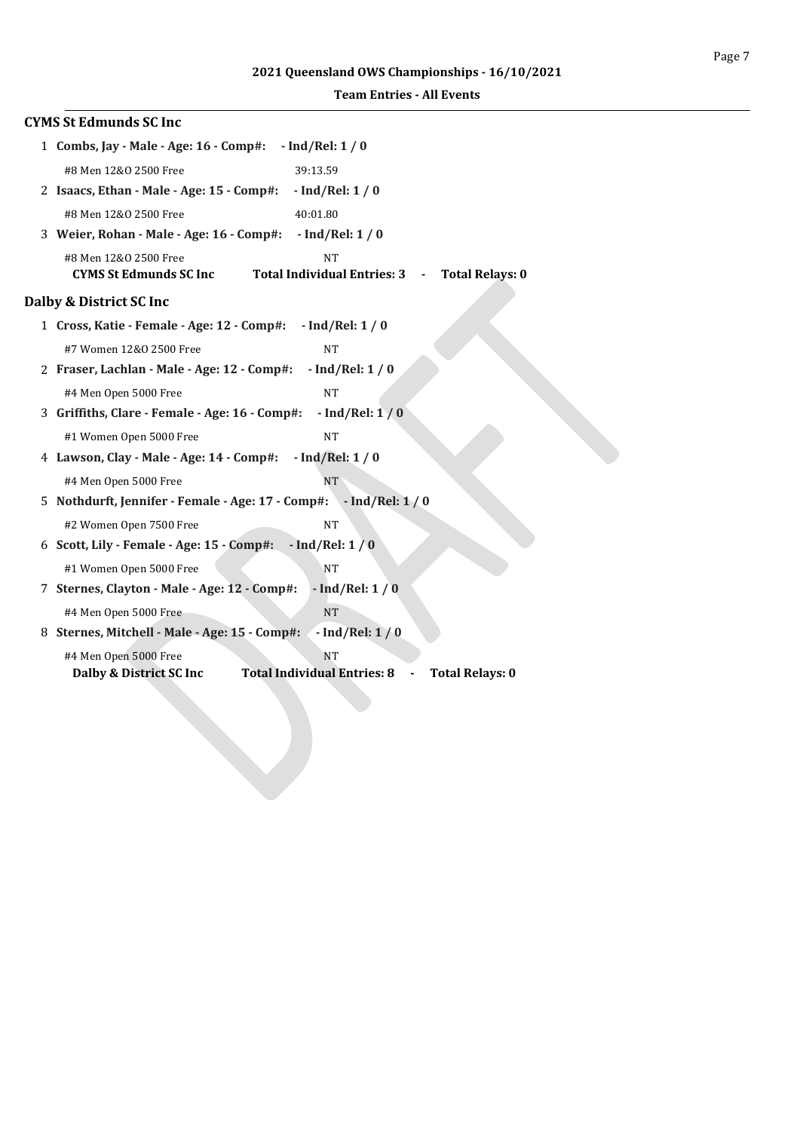|  | <b>Team Entries - All Events</b> |  |  |
|--|----------------------------------|--|--|
|--|----------------------------------|--|--|

| <b>CYMS St Edmunds SC Inc</b>                                                                                                       |
|-------------------------------------------------------------------------------------------------------------------------------------|
| 1 Combs, Jay - Male - Age: 16 - Comp#:<br>$-$ Ind/Rel: 1 / 0                                                                        |
| #8 Men 12&0 2500 Free<br>39:13.59                                                                                                   |
| 2 Isaacs, Ethan - Male - Age: 15 - Comp#:<br>$-$ Ind/Rel: 1 / 0                                                                     |
| #8 Men 12&0 2500 Free<br>40:01.80                                                                                                   |
| 3 Weier, Rohan - Male - Age: 16 - Comp#:<br>$-$ Ind/Rel: 1 / 0                                                                      |
| #8 Men 12&0 2500 Free<br><b>NT</b><br><b>CYMS St Edmunds SC Inc</b><br><b>Total Individual Entries: 3</b><br><b>Total Relays: 0</b> |
| Dalby & District SC Inc                                                                                                             |
| 1 Cross, Katie - Female - Age: 12 - Comp#:<br>$-$ Ind/Rel: 1 / 0                                                                    |
| #7 Women 12&0 2500 Free<br><b>NT</b>                                                                                                |
| 2 Fraser, Lachlan - Male - Age: 12 - Comp#:<br>$-$ Ind/Rel: $1/0$                                                                   |
| <b>NT</b><br>#4 Men Open 5000 Free                                                                                                  |
| 3 Griffiths, Clare - Female - Age: 16 - Comp#:<br>$-$ Ind/Rel: $1/0$                                                                |
| #1 Women Open 5000 Free<br><b>NT</b>                                                                                                |
| 4 Lawson, Clay - Male - Age: 14 - Comp#:<br>$-$ Ind/Rel: $1/0$                                                                      |
| #4 Men Open 5000 Free<br><b>NT</b>                                                                                                  |
| 5 Nothdurft, Jennifer - Female - Age: 17 - Comp#: - Ind/Rel: 1 / 0                                                                  |
| #2 Women Open 7500 Free<br><b>NT</b>                                                                                                |
| 6 Scott, Lily - Female - Age: 15 - Comp#:<br>$-$ Ind/Rel: $1/0$                                                                     |
| #1 Women Open 5000 Free<br><b>NT</b>                                                                                                |
| 7 Sternes, Clayton - Male - Age: 12 - Comp#:<br>$-$ Ind/Rel: $1/0$                                                                  |
| #4 Men Open 5000 Free<br><b>NT</b>                                                                                                  |
| 8 Sternes, Mitchell - Male - Age: 15 - Comp#:<br>$-$ Ind/Rel: $1/0$                                                                 |
| #4 Men Open 5000 Free<br><b>NT</b><br><b>Total Individual Entries: 8</b><br>Dalby & District SC Inc<br><b>Total Relays: 0</b>       |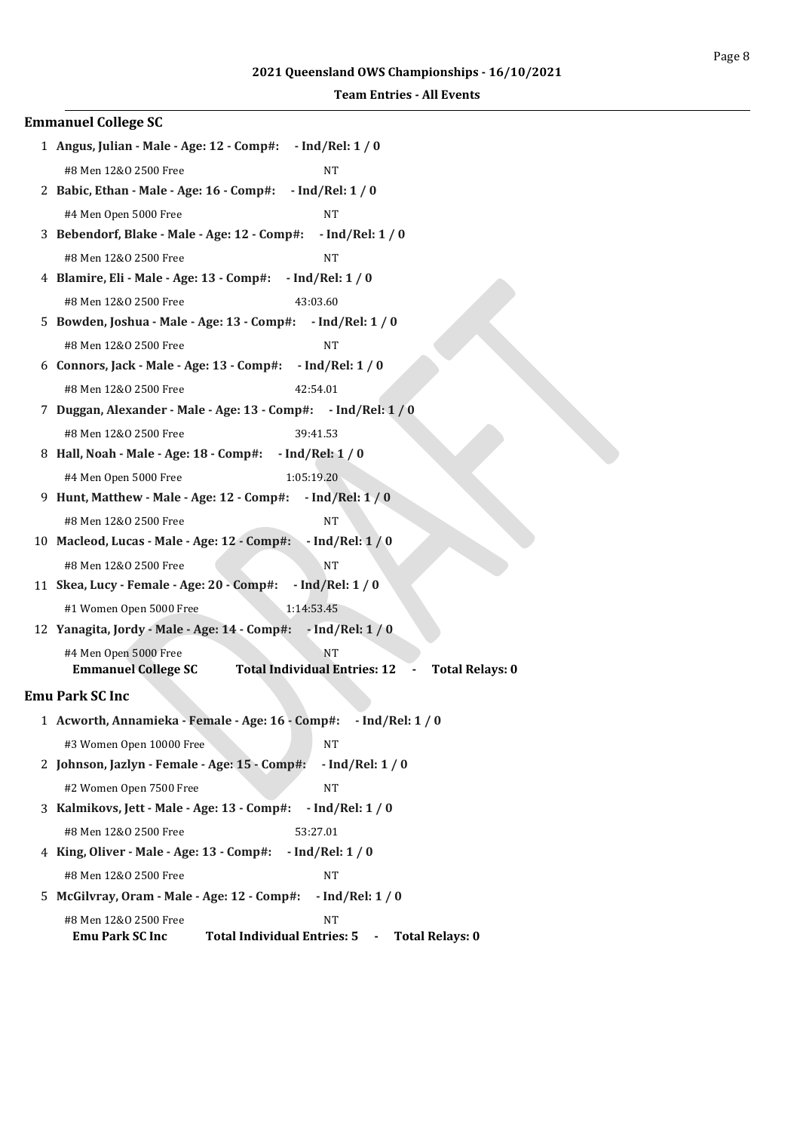| <b>Emmanuel College SC</b>                                                                                                                     |
|------------------------------------------------------------------------------------------------------------------------------------------------|
| 1 Angus, Julian - Male - Age: 12 - Comp#: - Ind/Rel: 1 / 0                                                                                     |
| #8 Men 12&0 2500 Free<br><b>NT</b>                                                                                                             |
| 2 Babic, Ethan - Male - Age: 16 - Comp#:<br>$-$ Ind/Rel: $1/0$                                                                                 |
| <b>NT</b><br>#4 Men Open 5000 Free                                                                                                             |
| 3 Bebendorf, Blake - Male - Age: 12 - Comp#:<br>$-$ Ind/Rel: 1 / 0                                                                             |
| #8 Men 12&0 2500 Free<br><b>NT</b>                                                                                                             |
| 4 Blamire, Eli - Male - Age: 13 - Comp#:<br>$-$ Ind/Rel: $1/0$                                                                                 |
| #8 Men 12&0 2500 Free<br>43:03.60                                                                                                              |
| 5 Bowden, Joshua - Male - Age: 13 - Comp#:<br>$-$ Ind/Rel: 1 / 0                                                                               |
| <b>NT</b><br>#8 Men 12&0 2500 Free                                                                                                             |
| $-$ Ind/Rel: 1 / 0<br>6 Connors, Jack - Male - Age: 13 - Comp#:                                                                                |
| #8 Men 12&0 2500 Free<br>42:54.01                                                                                                              |
| 7 Duggan, Alexander - Male - Age: 13 - Comp#: - Ind/Rel: 1 / 0                                                                                 |
| #8 Men 12&0 2500 Free<br>39:41.53                                                                                                              |
| 8 Hall, Noah - Male - Age: 18 - Comp#: - Ind/Rel: 1 / 0                                                                                        |
| #4 Men Open 5000 Free<br>1:05:19.20                                                                                                            |
| 9 Hunt, Matthew - Male - Age: 12 - Comp#: - Ind/Rel: 1 / 0                                                                                     |
| <b>NT</b><br>#8 Men 12&0 2500 Free                                                                                                             |
| 10 Macleod, Lucas - Male - Age: 12 - Comp#:<br>$-$ Ind/Rel: $1/0$                                                                              |
| #8 Men 12&0 2500 Free<br><b>NT</b>                                                                                                             |
| 11 Skea, Lucy - Female - Age: 20 - Comp#:<br>$-$ Ind/Rel: $1/0$                                                                                |
| #1 Women Open 5000 Free<br>1:14:53.45                                                                                                          |
| 12 Yanagita, Jordy - Male - Age: 14 - Comp#: - Ind/Rel: 1 / 0                                                                                  |
| #4 Men Open 5000 Free<br>NT                                                                                                                    |
| <b>Total Individual Entries: 12</b><br><b>Emmanuel College SC</b><br><b>Total Relays: 0</b>                                                    |
| <b>Emu Park SC Inc</b>                                                                                                                         |
| 1 Acworth, Annamieka - Female - Age: 16 - Comp#:<br>- Ind/Rel: 1 / 0                                                                           |
| #3 Women Open 10000 Free<br><b>NT</b>                                                                                                          |
| 2 Johnson, Jazlyn - Female - Age: 15 - Comp#:<br>$-$ Ind/Rel: $1/0$                                                                            |
| <b>NT</b><br>#2 Women Open 7500 Free                                                                                                           |
| 3 Kalmikovs, Jett - Male - Age: 13 - Comp#:<br>$-$ Ind/Rel: $1/0$                                                                              |
| #8 Men 12&0 2500 Free<br>53:27.01                                                                                                              |
| 4 King, Oliver - Male - Age: 13 - Comp#:<br>$-$ Ind/Rel: $1/0$                                                                                 |
| #8 Men 12&0 2500 Free<br><b>NT</b>                                                                                                             |
| 5 McGilvray, Oram - Male - Age: 12 - Comp#:<br>$-$ Ind/Rel: 1 / 0                                                                              |
| #8 Men 12&0 2500 Free<br><b>NT</b><br><b>Total Individual Entries: 5</b><br><b>Emu Park SC Inc</b><br><b>Total Relays: 0</b><br>$\blacksquare$ |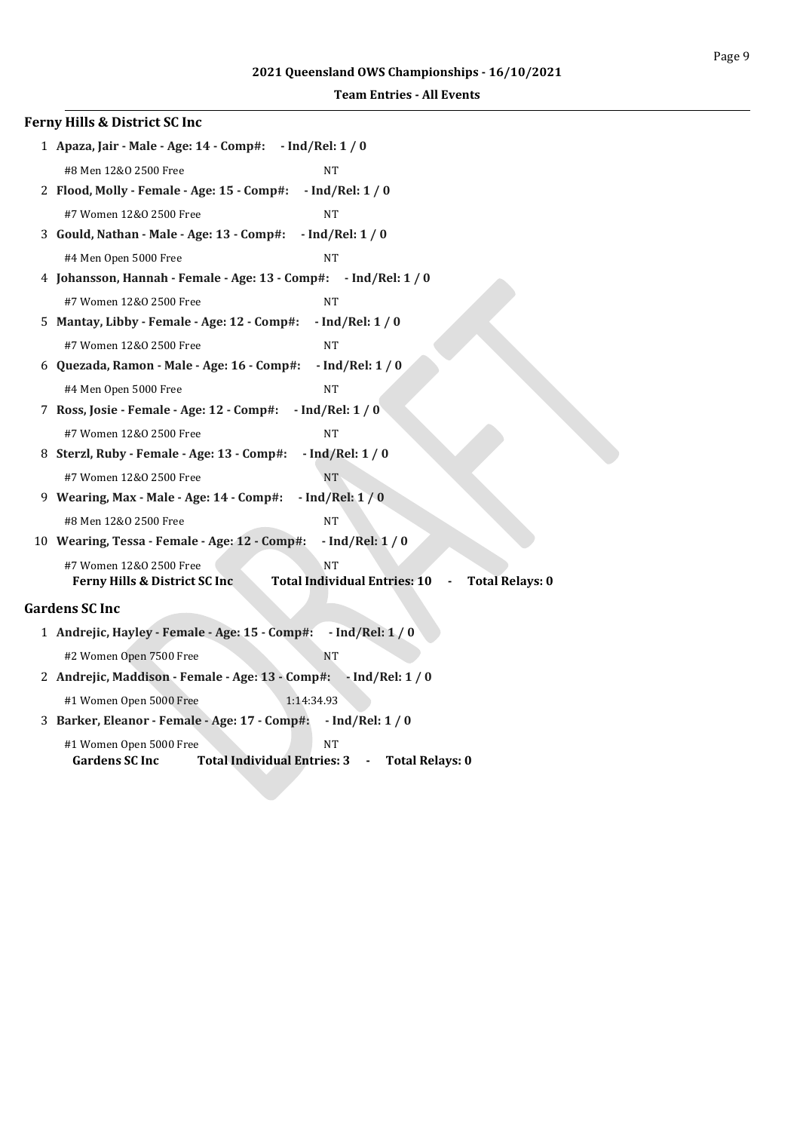| Ferny Hills & District SC Inc                                                                                                        |
|--------------------------------------------------------------------------------------------------------------------------------------|
| 1 Apaza, Jair - Male - Age: 14 - Comp#: - Ind/Rel: 1 / 0                                                                             |
| #8 Men 12&0 2500 Free<br><b>NT</b>                                                                                                   |
| 2 Flood, Molly - Female - Age: 15 - Comp#:<br>$-$ Ind/Rel: 1 / 0                                                                     |
| #7 Women 12&0 2500 Free<br><b>NT</b>                                                                                                 |
| 3 Gould, Nathan - Male - Age: 13 - Comp#:<br>$-$ Ind/Rel: $1/0$                                                                      |
| #4 Men Open 5000 Free<br><b>NT</b>                                                                                                   |
| 4 Johansson, Hannah - Female - Age: 13 - Comp#: - Ind/Rel: 1 / 0                                                                     |
| #7 Women 12&0 2500 Free<br><b>NT</b>                                                                                                 |
| 5 Mantay, Libby - Female - Age: 12 - Comp#:<br>$-$ Ind/Rel: $1/0$                                                                    |
| #7 Women 12&0 2500 Free<br><b>NT</b>                                                                                                 |
| 6 Quezada, Ramon - Male - Age: 16 - Comp#:<br>$-$ Ind/Rel: 1 / 0                                                                     |
| #4 Men Open 5000 Free<br><b>NT</b>                                                                                                   |
| $-$ Ind/Rel: 1 / 0<br>7 Ross, Josie - Female - Age: 12 - Comp#:                                                                      |
| #7 Women 12&0 2500 Free<br><b>NT</b>                                                                                                 |
| 8 Sterzl, Ruby - Female - Age: 13 - Comp#:<br>$-$ Ind/Rel: $1/0$                                                                     |
| <b>NT</b><br>#7 Women 12&0 2500 Free                                                                                                 |
| $-$ Ind/Rel: $1/0$<br>9 Wearing, Max - Male - Age: 14 - Comp#:                                                                       |
| <b>NT</b><br>#8 Men 12&0 2500 Free                                                                                                   |
| $-$ Ind/Rel: $1/0$<br>10 Wearing, Tessa - Female - Age: 12 - Comp#:                                                                  |
| #7 Women 12&0 2500 Free<br><b>NT</b>                                                                                                 |
| <b>Total Individual Entries: 10</b><br><b>Total Relays: 0</b><br>Ferny Hills & District SC Inc                                       |
| <b>Gardens SC Inc</b>                                                                                                                |
| 1 Andrejic, Hayley - Female - Age: 15 - Comp#:<br>$-$ Ind/Rel: $1/0$                                                                 |
| #2 Women Open 7500 Free<br><b>NT</b>                                                                                                 |
| 2 Andrejic, Maddison - Female - Age: 13 - Comp#: - Ind/Rel: 1 / 0                                                                    |
| #1 Women Open 5000 Free<br>1:14:34.93                                                                                                |
| 3 Barker, Eleanor - Female - Age: 17 - Comp#:<br>$-$ Ind/Rel: 1 / 0                                                                  |
| #1 Women Open 5000 Free<br><b>NT</b><br><b>Total Individual Entries: 3</b><br><b>Gardens SC Inc</b><br><b>Total Relays: 0</b><br>- 1 |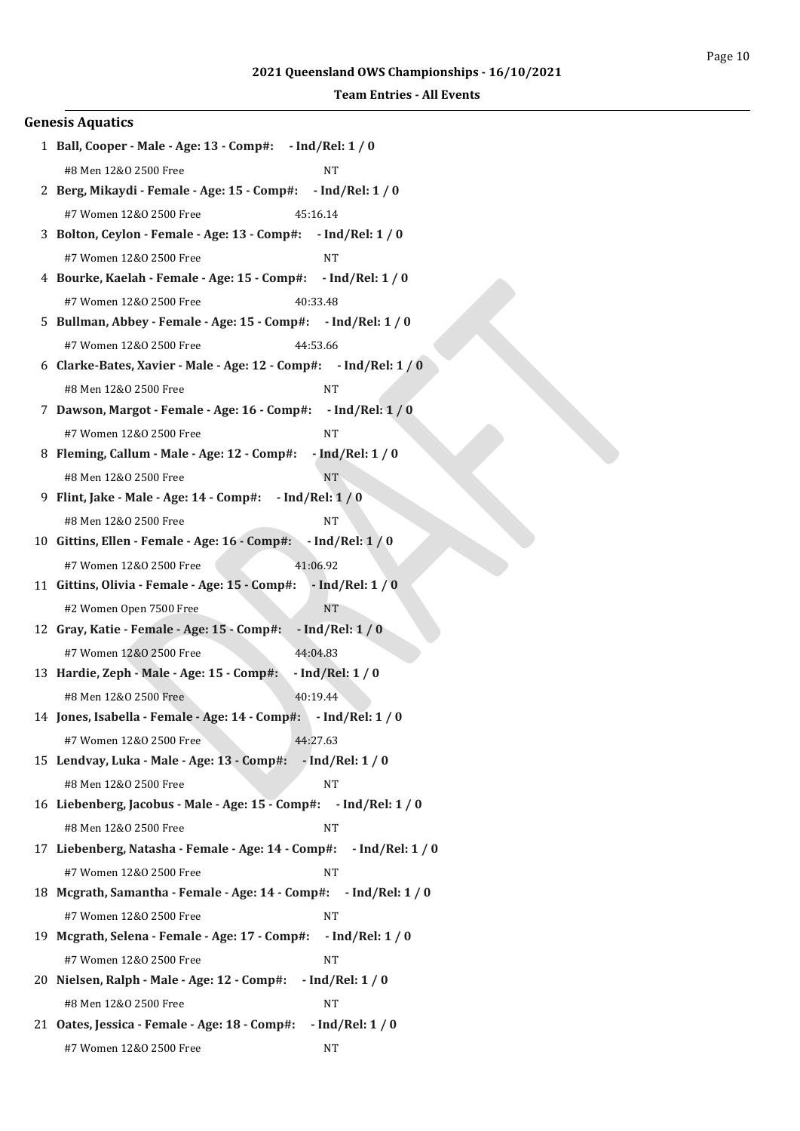| <b>Genesis Aquatics</b>                                                  |
|--------------------------------------------------------------------------|
| 1 Ball, Cooper - Male - Age: 13 - Comp#: - Ind/Rel: 1 / 0                |
| <b>NT</b><br>#8 Men 12&0 2500 Free                                       |
| 2 Berg, Mikaydi - Female - Age: 15 - Comp#: - Ind/Rel: 1 / 0             |
| #7 Women 12&0 2500 Free<br>45:16.14                                      |
| 3 Bolton, Ceylon - Female - Age: 13 - Comp#: - Ind/Rel: 1 / 0            |
| #7 Women 12&0 2500 Free<br><b>NT</b>                                     |
| 4 Bourke, Kaelah - Female - Age: 15 - Comp#:<br>$-$ Ind/Rel: $1/0$       |
| #7 Women 12&0 2500 Free<br>40:33.48                                      |
| 5 Bullman, Abbey - Female - Age: 15 - Comp#: - Ind/Rel: 1 / 0            |
| #7 Women 12&0 2500 Free<br>44:53.66                                      |
| 6 Clarke-Bates, Xavier - Male - Age: 12 - Comp#: - Ind/Rel: 1 / 0        |
| #8 Men 12&0 2500 Free<br>NT                                              |
| 7 Dawson, Margot - Female - Age: 16 - Comp#:<br>$-$ Ind/Rel: 1 / 0       |
| #7 Women 12&0 2500 Free<br><b>NT</b>                                     |
| 8 Fleming, Callum - Male - Age: 12 - Comp#:<br>$-$ Ind/Rel: $1/0$        |
| #8 Men 12&0 2500 Free<br><b>NT</b>                                       |
| 9 Flint, Jake - Male - Age: 14 - Comp#: - Ind/Rel: 1 / 0                 |
| <b>NT</b><br>#8 Men 12&0 2500 Free                                       |
| 10 Gittins, Ellen - Female - Age: 16 - Comp#: - Ind/Rel: 1 / 0           |
| 41:06.92<br>#7 Women 12&0 2500 Free                                      |
| 11 Gittins, Olivia - Female - Age: 15 - Comp#:<br>$-$ Ind/Rel: $1/0$     |
| <b>NT</b><br>#2 Women Open 7500 Free                                     |
| $-$ Ind/Rel: $1/0$<br>12 Gray, Katie - Female - Age: 15 - Comp#:         |
| #7 Women 12&0 2500 Free<br>44:04.83                                      |
| 13 Hardie, Zeph - Male - Age: 15 - Comp#:<br>$-$ Ind/Rel: $1/0$          |
| 40:19.44<br>#8 Men 12&0 2500 Free                                        |
| 14 Jones, Isabella - Female - Age: 14 - Comp#: - Ind/Rel: 1 / 0          |
| #7 Women 12&0 2500 Free<br>44:27.63                                      |
| 15 Lendvay, Luka - Male - Age: 13 - Comp#: - Ind/Rel: 1 / 0              |
| #8 Men 12&0 2500 Free<br><b>NT</b>                                       |
| 16 Liebenberg, Jacobus - Male - Age: 15 - Comp#: - Ind/Rel: 1 / 0        |
| #8 Men 12&0 2500 Free<br>NT                                              |
| 17 Liebenberg, Natasha - Female - Age: 14 - Comp#:<br>$-$ Ind/Rel: 1 / 0 |
| #7 Women 12&0 2500 Free<br><b>NT</b>                                     |
| 18 Mcgrath, Samantha - Female - Age: 14 - Comp#: - Ind/Rel: 1 / 0        |
| #7 Women 12&0 2500 Free<br><b>NT</b>                                     |
| 19 Mcgrath, Selena - Female - Age: 17 - Comp#: - Ind/Rel: 1 / 0          |
| #7 Women 12&0 2500 Free<br><b>NT</b>                                     |
| 20 Nielsen, Ralph - Male - Age: 12 - Comp#:<br>$-$ Ind/Rel: $1/0$        |
| #8 Men 12&0 2500 Free<br><b>NT</b>                                       |
| 21 Oates, Jessica - Female - Age: 18 - Comp#:<br>$-$ Ind/Rel: $1/0$      |
| #7 Women 12&0 2500 Free<br>NT                                            |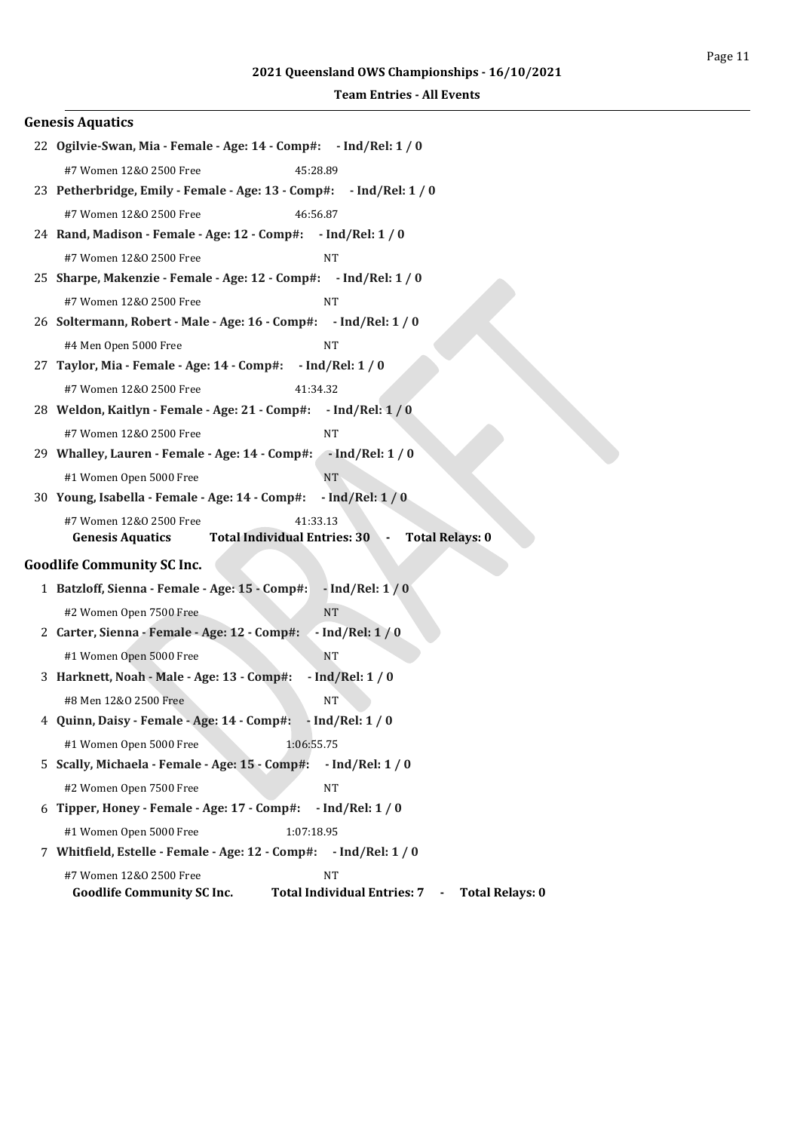| <b>Genesis Aquatics</b>                                                                                                                           |  |
|---------------------------------------------------------------------------------------------------------------------------------------------------|--|
| 22 Ogilvie-Swan, Mia - Female - Age: 14 - Comp#: - Ind/Rel: 1 / 0                                                                                 |  |
| #7 Women 12&0 2500 Free<br>45:28.89                                                                                                               |  |
| 23 Petherbridge, Emily - Female - Age: 13 - Comp#: - Ind/Rel: 1 / 0                                                                               |  |
| #7 Women 12&0 2500 Free<br>46:56.87                                                                                                               |  |
| 24 Rand, Madison - Female - Age: 12 - Comp#: - Ind/Rel: 1 / 0                                                                                     |  |
| #7 Women 12&0 2500 Free<br><b>NT</b>                                                                                                              |  |
| 25 Sharpe, Makenzie - Female - Age: 12 - Comp#: - Ind/Rel: 1 / 0                                                                                  |  |
| #7 Women 12&0 2500 Free<br><b>NT</b>                                                                                                              |  |
| 26 Soltermann, Robert - Male - Age: 16 - Comp#: - Ind/Rel: 1 / 0                                                                                  |  |
| #4 Men Open 5000 Free<br><b>NT</b>                                                                                                                |  |
| 27 Taylor, Mia - Female - Age: 14 - Comp#:<br>$-$ Ind/Rel: 1 / 0                                                                                  |  |
| #7 Women 12&0 2500 Free<br>41:34.32                                                                                                               |  |
| 28 Weldon, Kaitlyn - Female - Age: 21 - Comp#: - Ind/Rel: 1 / 0                                                                                   |  |
| #7 Women 12&0 2500 Free<br><b>NT</b>                                                                                                              |  |
| 29 Whalley, Lauren - Female - Age: 14 - Comp#: - Ind/Rel: 1 / 0                                                                                   |  |
| #1 Women Open 5000 Free<br><b>NT</b>                                                                                                              |  |
| 30 Young, Isabella - Female - Age: 14 - Comp#:<br>$-$ Ind/Rel: $1/0$                                                                              |  |
| 41:33.13<br>#7 Women 12&0 2500 Free<br><b>Total Individual Entries: 30</b><br><b>Total Relays: 0</b><br><b>Genesis Aquatics</b><br>$\blacksquare$ |  |
| <b>Goodlife Community SC Inc.</b>                                                                                                                 |  |
| 1 Batzloff, Sienna - Female - Age: 15 - Comp#:<br>$-$ Ind/Rel: $1/0$                                                                              |  |
| <b>NT</b><br>#2 Women Open 7500 Free                                                                                                              |  |
| 2 Carter, Sienna - Female - Age: 12 - Comp#:<br>$-$ Ind/Rel: 1 / 0                                                                                |  |
| #1 Women Open 5000 Free<br><b>NT</b>                                                                                                              |  |
| $-$ Ind/Rel: $1/0$<br>3 Harknett, Noah - Male - Age: 13 - Comp#:                                                                                  |  |
| #8 Men 12&0 2500 Free<br>NT                                                                                                                       |  |
| 4 Quinn, Daisy - Female - Age: 14 - Comp#: - Ind/Rel: 1 / 0                                                                                       |  |
| #1 Women Open 5000 Free<br>1:06:55.75                                                                                                             |  |
| 5 Scally, Michaela - Female - Age: 15 - Comp#:<br>$-$ Ind/Rel: 1 / 0                                                                              |  |
| #2 Women Open 7500 Free<br><b>NT</b>                                                                                                              |  |
| 6 Tipper, Honey - Female - Age: 17 - Comp#:<br>$-$ Ind/Rel: 1 / 0                                                                                 |  |
| #1 Women Open 5000 Free<br>1:07:18.95                                                                                                             |  |
| 7 Whitfield, Estelle - Female - Age: 12 - Comp#: - Ind/Rel: 1 / 0                                                                                 |  |
| #7 Women 12&0 2500 Free<br><b>NT</b>                                                                                                              |  |
| <b>Total Individual Entries: 7</b><br><b>Goodlife Community SC Inc.</b><br><b>Total Relays: 0</b><br>$\sim$ $ \sim$                               |  |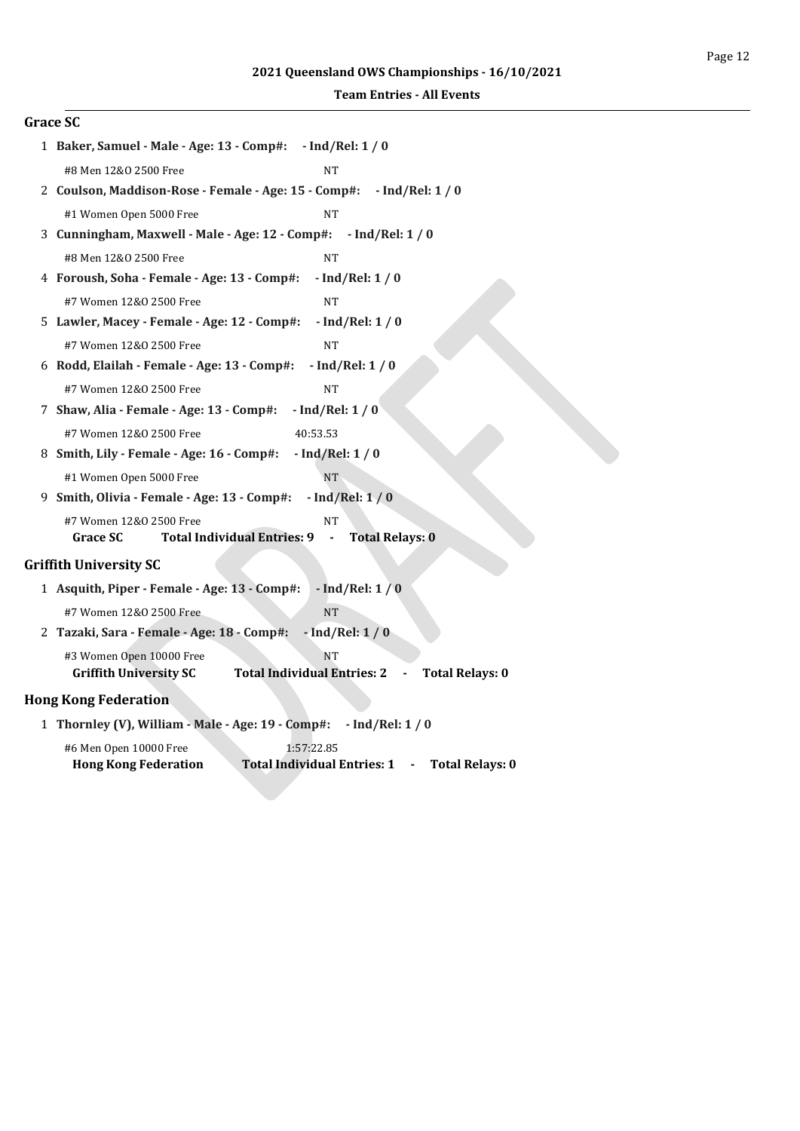| <b>Grace SC</b>                                                                                                                        |  |  |
|----------------------------------------------------------------------------------------------------------------------------------------|--|--|
| 1 Baker, Samuel - Male - Age: 13 - Comp#: - Ind/Rel: 1 / 0                                                                             |  |  |
| #8 Men 12&0 2500 Free<br>NT                                                                                                            |  |  |
| 2 Coulson, Maddison-Rose - Female - Age: 15 - Comp#:<br>$-$ Ind/Rel: 1 / 0                                                             |  |  |
| #1 Women Open 5000 Free<br><b>NT</b>                                                                                                   |  |  |
| 3 Cunningham, Maxwell - Male - Age: 12 - Comp#: - Ind/Rel: 1 / 0                                                                       |  |  |
| #8 Men 12&0 2500 Free<br><b>NT</b>                                                                                                     |  |  |
| 4 Foroush, Soha - Female - Age: 13 - Comp#:<br>$-$ Ind/Rel: $1/0$                                                                      |  |  |
| #7 Women 12&0 2500 Free<br><b>NT</b>                                                                                                   |  |  |
| 5 Lawler, Macey - Female - Age: 12 - Comp#:<br>$-$ Ind/Rel: $1/0$                                                                      |  |  |
| #7 Women 12&0 2500 Free<br><b>NT</b>                                                                                                   |  |  |
| 6 Rodd, Elailah - Female - Age: 13 - Comp#:<br>$-$ Ind/Rel: 1 / 0                                                                      |  |  |
| #7 Women 12&0 2500 Free<br><b>NT</b>                                                                                                   |  |  |
| 7 Shaw, Alia - Female - Age: 13 - Comp#:<br>$-$ Ind/Rel: $1/0$                                                                         |  |  |
| #7 Women 12&0 2500 Free<br>40:53.53                                                                                                    |  |  |
| 8 Smith, Lily - Female - Age: 16 - Comp#:<br>$-$ Ind/Rel: $1/0$                                                                        |  |  |
| #1 Women Open 5000 Free<br><b>NT</b>                                                                                                   |  |  |
| $-$ Ind/Rel: $1/0$<br>9 Smith, Olivia - Female - Age: 13 - Comp#:                                                                      |  |  |
| #7 Women 12&0 2500 Free<br><b>NT</b>                                                                                                   |  |  |
| <b>Total Individual Entries: 9</b><br><b>Grace SC</b><br><b>Total Relays: 0</b><br>$\blacksquare$                                      |  |  |
| <b>Griffith University SC</b>                                                                                                          |  |  |
| 1 Asquith, Piper - Female - Age: 13 - Comp#:<br>$-$ Ind/Rel: $1/0$                                                                     |  |  |
| #7 Women 12&0 2500 Free<br><b>NT</b>                                                                                                   |  |  |
| $-$ Ind/Rel: $1/0$<br>2 Tazaki, Sara - Female - Age: 18 - Comp#:                                                                       |  |  |
| #3 Women Open 10000 Free<br><b>NT</b><br><b>Griffith University SC</b><br><b>Total Individual Entries: 2</b><br><b>Total Relays: 0</b> |  |  |
| <b>Hong Kong Federation</b>                                                                                                            |  |  |
| 1 Thornley (V), William - Male - Age: 19 - Comp#:<br>$-$ Ind/Rel: 1 / 0                                                                |  |  |
| 1:57:22.85<br>#6 Men Open 10000 Free                                                                                                   |  |  |

**Hong Kong Federation Total Individual Entries: 1 - Total Relays: 0**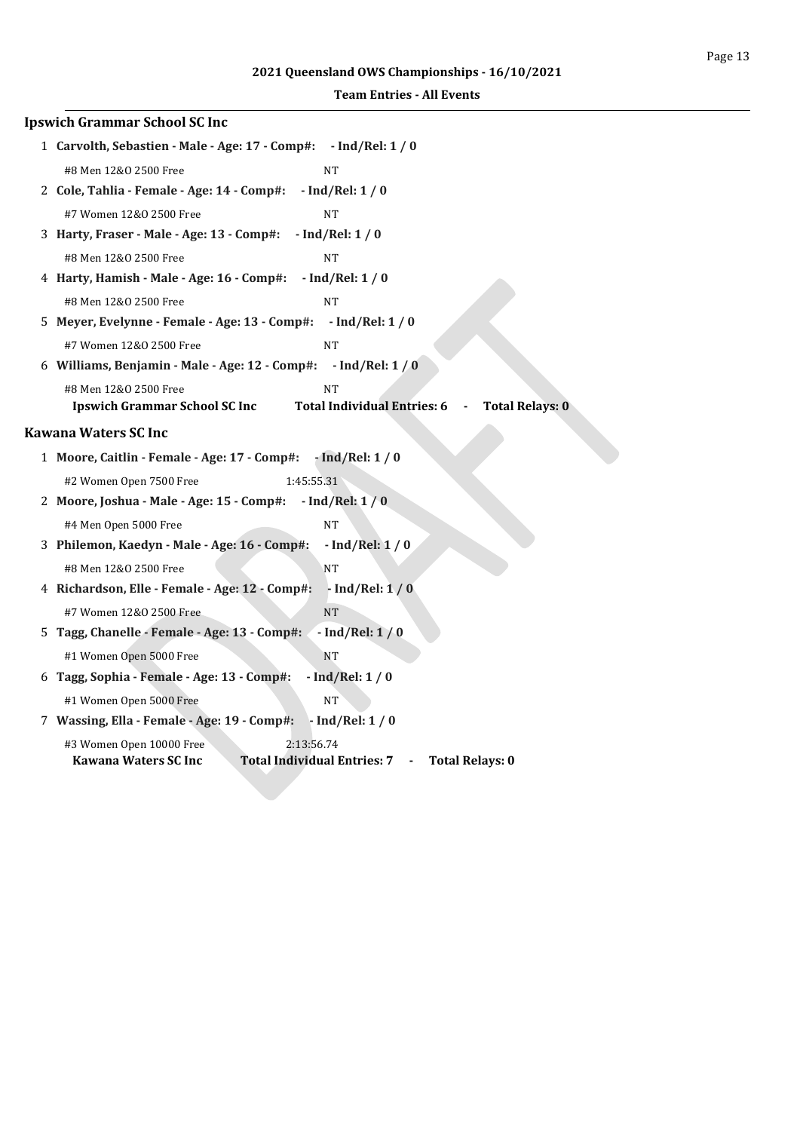| <b>Ipswich Grammar School SC Inc</b>                                                                                                                         |
|--------------------------------------------------------------------------------------------------------------------------------------------------------------|
| 1 Carvolth, Sebastien - Male - Age: 17 - Comp#: - Ind/Rel: 1 / 0                                                                                             |
| #8 Men 12&0 2500 Free<br><b>NT</b>                                                                                                                           |
| 2 Cole, Tahlia - Female - Age: 14 - Comp#:<br>$-$ Ind/Rel: $1/0$                                                                                             |
| #7 Women 12&0 2500 Free<br><b>NT</b>                                                                                                                         |
| $-$ Ind/Rel: $1/0$<br>3 Harty, Fraser - Male - Age: 13 - Comp#:                                                                                              |
| #8 Men 12&0 2500 Free<br>NT                                                                                                                                  |
| $-$ Ind/Rel: $1/0$<br>4 Harty, Hamish - Male - Age: 16 - Comp#:                                                                                              |
| #8 Men 12&0 2500 Free<br><b>NT</b>                                                                                                                           |
| 5 Meyer, Evelynne - Female - Age: 13 - Comp#:<br>$-$ Ind/Rel: $1/0$                                                                                          |
| #7 Women 12&0 2500 Free<br><b>NT</b>                                                                                                                         |
| 6 Williams, Benjamin - Male - Age: 12 - Comp#: - Ind/Rel: 1 / 0                                                                                              |
| #8 Men 12&0 2500 Free<br><b>NT</b><br><b>Total Individual Entries: 6</b><br><b>Ipswich Grammar School SC Inc</b><br><b>Total Relays: 0</b><br>$\blacksquare$ |
| Kawana Waters SC Inc                                                                                                                                         |
| 1 Moore, Caitlin - Female - Age: 17 - Comp#:<br>$-$ Ind/Rel: 1 / 0                                                                                           |
| #2 Women Open 7500 Free<br>1:45:55.31                                                                                                                        |
| $-$ Ind/Rel: $1/0$<br>2 Moore, Joshua - Male - Age: 15 - Comp#:                                                                                              |
| #4 Men Open 5000 Free<br><b>NT</b>                                                                                                                           |
| 3 Philemon, Kaedyn - Male - Age: 16 - Comp#:<br>$-$ Ind/Rel: $1/0$                                                                                           |
| #8 Men 12&0 2500 Free<br><b>NT</b>                                                                                                                           |
| 4 Richardson, Elle - Female - Age: 12 - Comp#:<br>$-$ Ind/Rel: $1/0$                                                                                         |
| <b>NT</b><br>#7 Women 12&0 2500 Free                                                                                                                         |
| 5 Tagg, Chanelle - Female - Age: 13 - Comp#:<br>$-$ Ind/Rel: $1/0$                                                                                           |
| #1 Women Open 5000 Free<br><b>NT</b>                                                                                                                         |
| $-$ Ind/Rel: $1/0$<br>6 Tagg, Sophia - Female - Age: 13 - Comp#:                                                                                             |
| #1 Women Open 5000 Free<br><b>NT</b>                                                                                                                         |
| 7 Wassing, Ella - Female - Age: 19 - Comp#:<br>$-$ Ind/Rel: $1/0$                                                                                            |
| 2:13:56.74<br>#3 Women Open 10000 Free<br><b>Total Individual Entries: 7</b><br><b>Kawana Waters SC Inc.</b><br><b>Total Relays: 0</b><br>$\sim$ 100 $\pm$   |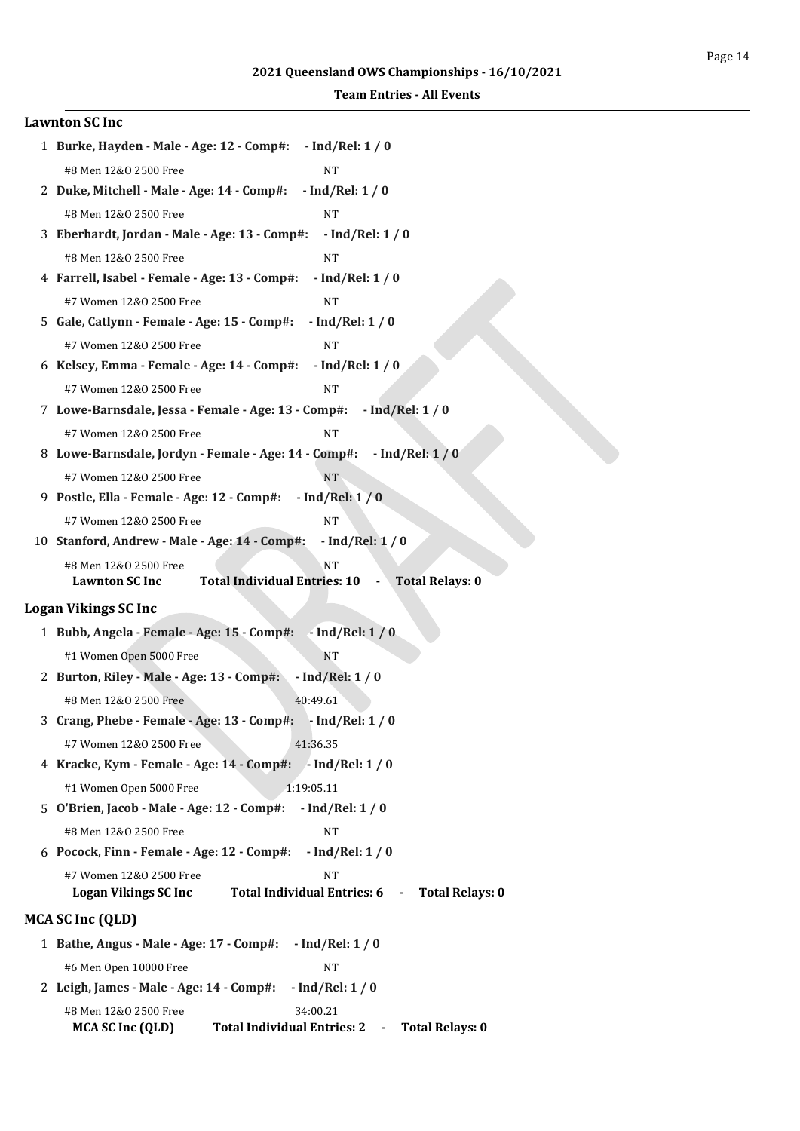| <b>Lawnton SC Inc</b>                                                                                            |
|------------------------------------------------------------------------------------------------------------------|
| 1 Burke, Hayden - Male - Age: 12 - Comp#: - Ind/Rel: 1 / 0                                                       |
| #8 Men 12&0 2500 Free<br><b>NT</b>                                                                               |
| $-$ Ind/Rel: 1 / 0<br>2 Duke, Mitchell - Male - Age: 14 - Comp#:                                                 |
| #8 Men 12&0 2500 Free<br><b>NT</b>                                                                               |
| 3 Eberhardt, Jordan - Male - Age: 13 - Comp#:<br>$-$ Ind/Rel: $1/0$                                              |
| #8 Men 12&0 2500 Free<br><b>NT</b>                                                                               |
| 4 Farrell, Isabel - Female - Age: 13 - Comp#:<br>$-$ Ind/Rel: 1 / 0                                              |
| #7 Women 12&0 2500 Free<br><b>NT</b>                                                                             |
| $-$ Ind/Rel: $1/0$<br>5 Gale, Catlynn - Female - Age: 15 - Comp#:                                                |
| #7 Women 12&0 2500 Free<br><b>NT</b>                                                                             |
| 6 Kelsey, Emma - Female - Age: 14 - Comp#:<br>$-$ Ind/Rel: $1/0$                                                 |
| #7 Women 12&0 2500 Free<br>NT                                                                                    |
| 7 Lowe-Barnsdale, Jessa - Female - Age: 13 - Comp#:<br>$-$ Ind/Rel: 1 / 0                                        |
| #7 Women 12&0 2500 Free<br>NT                                                                                    |
| 8 Lowe-Barnsdale, Jordyn - Female - Age: 14 - Comp#: - Ind/Rel: 1 / 0                                            |
| #7 Women 12&0 2500 Free<br><b>NT</b>                                                                             |
| 9 Postle, Ella - Female - Age: 12 - Comp#:<br>$-$ Ind/Rel: $1/0$                                                 |
| #7 Women 12&0 2500 Free<br><b>NT</b>                                                                             |
| $-$ Ind/Rel: $1/0$<br>10 Stanford, Andrew - Male - Age: 14 - Comp#:                                              |
| #8 Men 12&0 2500 Free<br><b>NT</b>                                                                               |
| Total Individual Entries: 10 -<br><b>Total Relays: 0</b><br><b>Lawnton SC Inc</b>                                |
| <b>Logan Vikings SC Inc</b>                                                                                      |
| 1 Bubb, Angela - Female - Age: 15 - Comp#: - Ind/Rel: 1 / 0                                                      |
| #1 Women Open 5000 Free<br><b>NT</b>                                                                             |
| 2 Burton, Riley - Male - Age: 13 - Comp#:<br>$-$ Ind/Rel: $1/0$                                                  |
| #8 Men 12&0 2500 Free<br>40:49.61                                                                                |
| 3 Crang, Phebe - Female - Age: 13 - Comp#: - Ind/Rel: 1 / 0                                                      |
| #7 Women 12&0 2500 Free<br>41:36.35                                                                              |
| 4 Kracke, Kym - Female - Age: 14 - Comp#: - Ind/Rel: 1 / 0                                                       |
| #1 Women Open 5000 Free<br>1:19:05.11                                                                            |
| 5 O'Brien, Jacob - Male - Age: 12 - Comp#:<br>$-$ Ind/Rel: 1 / 0                                                 |
| #8 Men 12&0 2500 Free<br><b>NT</b>                                                                               |
| 6 Pocock, Finn - Female - Age: 12 - Comp#:<br>$-$ Ind/Rel: 1 / 0                                                 |
| #7 Women 12&0 2500 Free<br><b>NT</b>                                                                             |
| <b>Total Individual Entries: 6</b><br><b>Logan Vikings SC Inc</b><br><b>Total Relays: 0</b><br>$\sim$            |
| MCA SC Inc (QLD)                                                                                                 |
| 1 Bathe, Angus - Male - Age: 17 - Comp#:<br>$-$ Ind/Rel: 1 / 0                                                   |
| #6 Men Open 10000 Free<br><b>NT</b>                                                                              |
| 2 Leigh, James - Male - Age: 14 - Comp#:<br>$-$ Ind/Rel: 1 / 0                                                   |
| #8 Men 12&0 2500 Free<br>34:00.21<br>Total Individual Entries: 2 -<br><b>Total Relays: 0</b><br>MCA SC Inc (QLD) |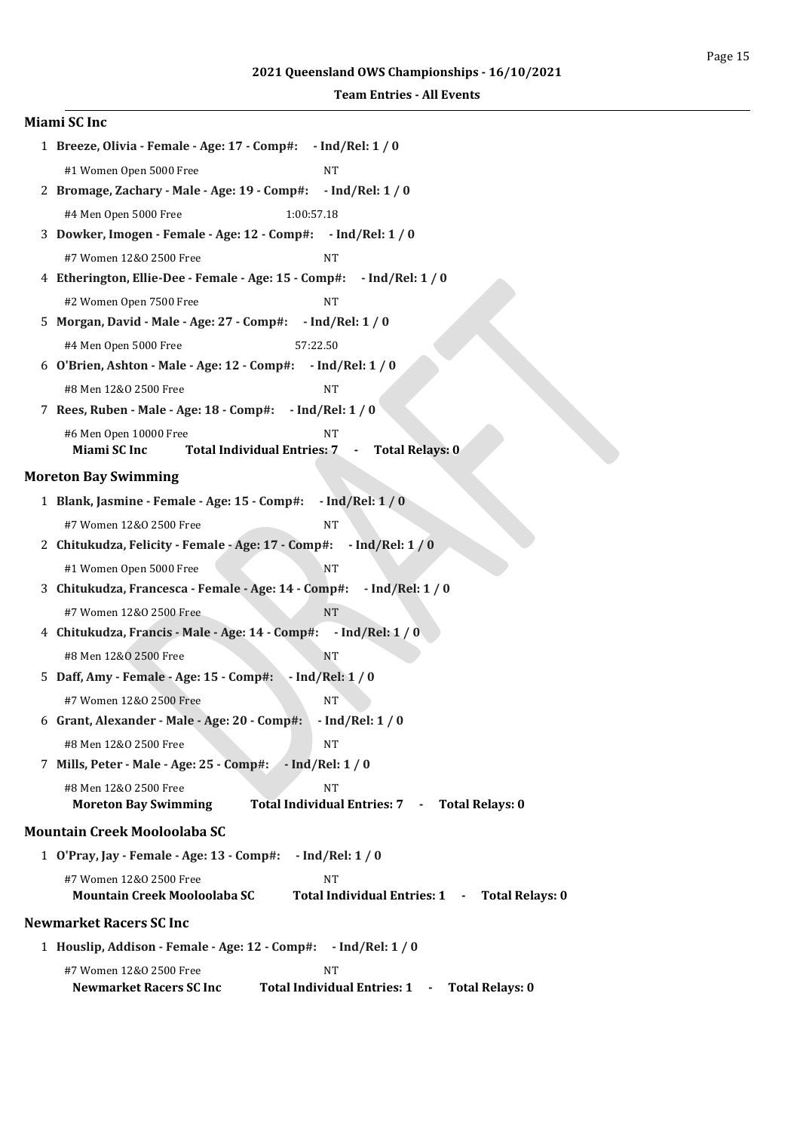| Miami SC Inc                                                                                              |
|-----------------------------------------------------------------------------------------------------------|
| 1 Breeze, Olivia - Female - Age: 17 - Comp#:<br>$-$ Ind/Rel: 1 / 0                                        |
| #1 Women Open 5000 Free<br><b>NT</b>                                                                      |
| 2 Bromage, Zachary - Male - Age: 19 - Comp#: - Ind/Rel: 1 / 0                                             |
| #4 Men Open 5000 Free<br>1:00:57.18                                                                       |
| 3 Dowker, Imogen - Female - Age: 12 - Comp#: - Ind/Rel: 1 / 0                                             |
| #7 Women 12&0 2500 Free<br>NT                                                                             |
| 4 Etherington, Ellie-Dee - Female - Age: 15 - Comp#:<br>$-$ Ind/Rel: 1 / 0                                |
| #2 Women Open 7500 Free<br><b>NT</b>                                                                      |
| 5 Morgan, David - Male - Age: 27 - Comp#:<br>$-$ Ind/Rel: 1 / 0                                           |
| #4 Men Open 5000 Free<br>57:22.50                                                                         |
| 6 O'Brien, Ashton - Male - Age: 12 - Comp#: - Ind/Rel: 1 / 0                                              |
| #8 Men 12&0 2500 Free<br><b>NT</b>                                                                        |
| 7 Rees, Ruben - Male - Age: 18 - Comp#: - Ind/Rel: 1 / 0                                                  |
| #6 Men Open 10000 Free<br><b>NT</b>                                                                       |
| Miami SC Inc<br>Total Individual Entries: 7 -<br><b>Total Relays: 0</b>                                   |
| <b>Moreton Bay Swimming</b>                                                                               |
| $-$ Ind/Rel: 1 / 0<br>1 Blank, Jasmine - Female - Age: 15 - Comp#:                                        |
| #7 Women 12&0 2500 Free<br><b>NT</b>                                                                      |
| 2 Chitukudza, Felicity - Female - Age: 17 - Comp#: - Ind/Rel: 1 / 0                                       |
| #1 Women Open 5000 Free<br><b>NT</b>                                                                      |
| 3 Chitukudza, Francesca - Female - Age: 14 - Comp#:<br>$-$ Ind/Rel: 1 / 0                                 |
| #7 Women 12&0 2500 Free<br><b>NT</b>                                                                      |
| 4 Chitukudza, Francis - Male - Age: 14 - Comp#:<br>$-$ Ind/Rel: $1/0$                                     |
| #8 Men 12&0 2500 Free<br><b>NT</b>                                                                        |
| $-$ Ind/Rel: $1/0$<br>5 Daff, Amy - Female - Age: 15 - Comp#:                                             |
| #7 Women 12&0 2500 Free<br>NT                                                                             |
| 6 Grant, Alexander - Male - Age: 20 - Comp#:<br>$-$ Ind/Rel: 1 / 0                                        |
| #8 Men 12&0 2500 Free<br><b>NT</b>                                                                        |
| 7 Mills, Peter - Male - Age: 25 - Comp#:<br>$-$ Ind/Rel: 1 / 0                                            |
| <b>NT</b><br>#8 Men 12&0 2500 Free                                                                        |
| Total Individual Entries: 7 - Total Relays: 0<br><b>Moreton Bay Swimming</b>                              |
| <b>Mountain Creek Mooloolaba SC</b>                                                                       |
| 1 O'Pray, Jay - Female - Age: 13 - Comp#:<br>$-$ Ind/Rel: 1 / 0                                           |
| #7 Women 12&0 2500 Free<br>NT                                                                             |
| <b>Mountain Creek Mooloolaba SC</b><br>Total Individual Entries: 1 -<br><b>Total Relays: 0</b>            |
| <b>Newmarket Racers SC Inc</b>                                                                            |
| 1 Houslip, Addison - Female - Age: 12 - Comp#: - Ind/Rel: 1 / 0                                           |
| #7 Women 12&0 2500 Free<br><b>NT</b>                                                                      |
| <b>Total Individual Entries: 1</b><br><b>Total Relays: 0</b><br><b>Newmarket Racers SC Inc.</b><br>$\sim$ |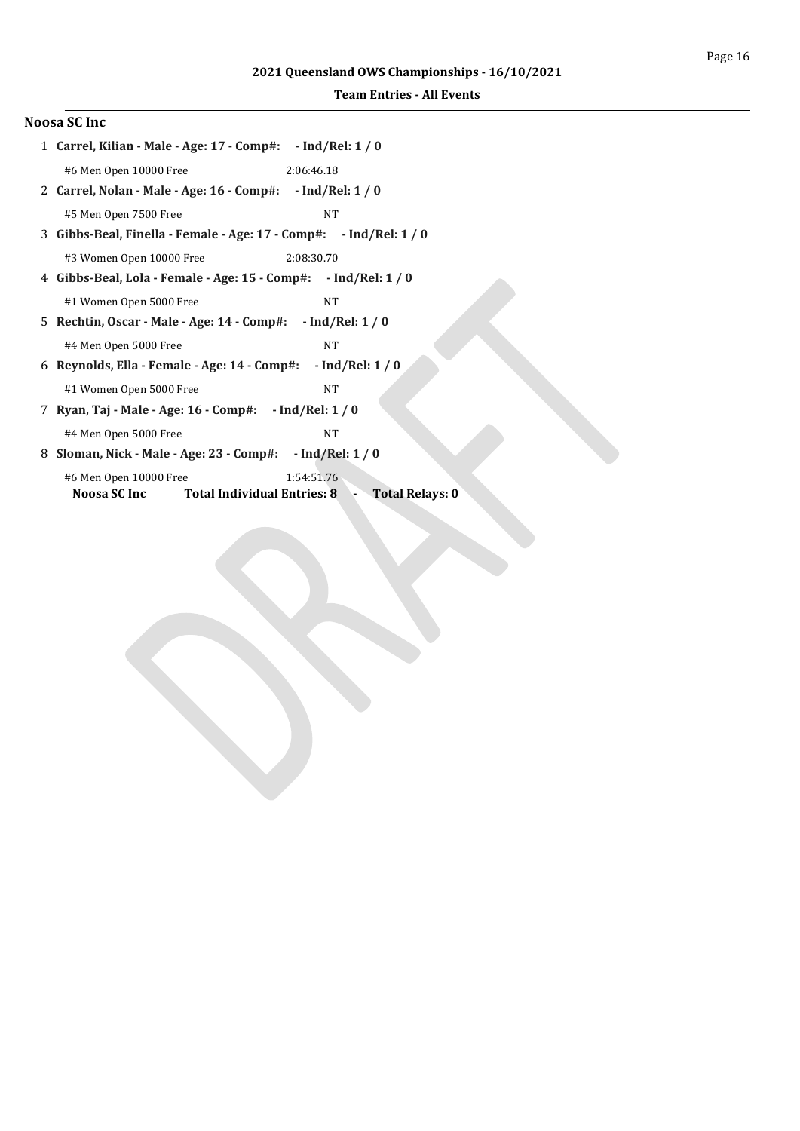| Noosa SC Inc |  |                       |
|--------------|--|-----------------------|
|              |  | 1 Carrel, Kilian - Ma |

| 1 Carrel, Kilian - Male - Age: 17 - Comp#:     - Ind/Rel: 1 / 0                                            |
|------------------------------------------------------------------------------------------------------------|
| #6 Men Open 10000 Free<br>2:06:46.18                                                                       |
| 2 Carrel, Nolan - Male - Age: 16 - Comp#: - Ind/Rel: 1 / 0                                                 |
| #5 Men Open 7500 Free<br><b>NT</b>                                                                         |
| 3 Gibbs-Beal, Finella - Female - Age: 17 - Comp#: - Ind/Rel: 1 / 0                                         |
| #3 Women Open 10000 Free<br>2:08:30.70                                                                     |
| 4 Gibbs-Beal, Lola - Female - Age: 15 - Comp#:     - Ind/Rel: 1 / 0                                        |
| #1 Women Open 5000 Free<br><b>NT</b>                                                                       |
|                                                                                                            |
| #4 Men Open 5000 Free<br><b>NT</b>                                                                         |
| 6 Reynolds, Ella - Female - Age: 14 - Comp#: - Ind/Rel: 1 / 0                                              |
| #1 Women Open 5000 Free<br><b>NT</b>                                                                       |
| 7 Ryan, Taj - Male - Age: 16 - Comp#: - Ind/Rel: 1 / 0                                                     |
| #4 Men Open 5000 Free<br><b>NT</b>                                                                         |
| 8 Sloman, Nick - Male - Age: 23 - Comp#: - Ind/Rel: 1 / 0                                                  |
| #6 Men Open 10000 Free<br>1:54:51.76<br>Noosa SC Inc Total Individual Entries: 8<br><b>Total Relays: 0</b> |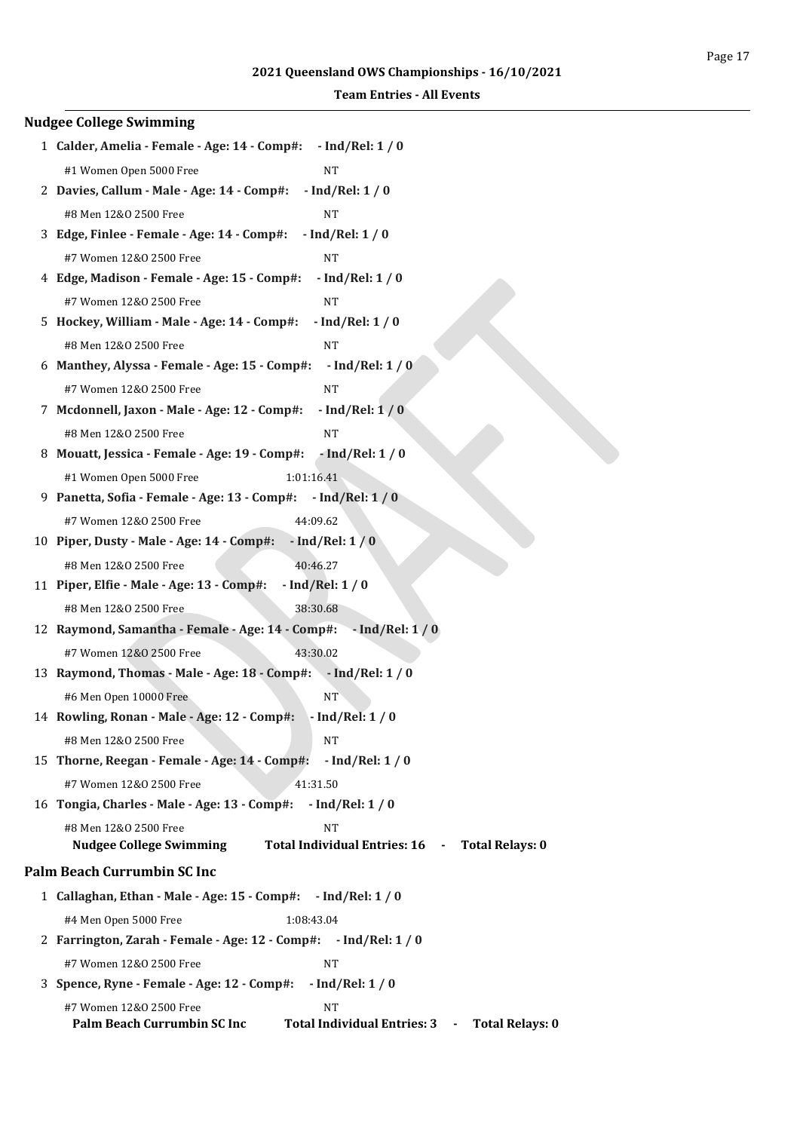| <b>Nudgee College Swimming</b>                                                                                                 |
|--------------------------------------------------------------------------------------------------------------------------------|
| 1 Calder, Amelia - Female - Age: 14 - Comp#:<br>$-$ Ind/Rel: 1 / 0                                                             |
| #1 Women Open 5000 Free<br><b>NT</b>                                                                                           |
| 2 Davies, Callum - Male - Age: 14 - Comp#:<br>$-$ Ind/Rel: $1/0$                                                               |
| <b>NT</b><br>#8 Men 12&0 2500 Free                                                                                             |
| 3 Edge, Finlee - Female - Age: 14 - Comp#:<br>$-$ Ind/Rel: 1 / 0                                                               |
| #7 Women 12&0 2500 Free<br><b>NT</b>                                                                                           |
| 4 Edge, Madison - Female - Age: 15 - Comp#:<br>$-$ Ind/Rel: 1 / 0                                                              |
| #7 Women 12&0 2500 Free<br><b>NT</b>                                                                                           |
| 5 Hockey, William - Male - Age: 14 - Comp#:<br>$-$ Ind/Rel: 1 / 0                                                              |
| <b>NT</b><br>#8 Men 12&0 2500 Free                                                                                             |
| 6 Manthey, Alyssa - Female - Age: 15 - Comp#:<br>$-$ Ind/Rel: $1/0$                                                            |
| #7 Women 12&0 2500 Free<br><b>NT</b>                                                                                           |
| 7 Mcdonnell, Jaxon - Male - Age: 12 - Comp#:<br>$-$ Ind/Rel: $1/0$                                                             |
| #8 Men 12&0 2500 Free<br><b>NT</b>                                                                                             |
| 8 Mouatt, Jessica - Female - Age: 19 - Comp#:<br>$-$ Ind/Rel: 1 / 0                                                            |
| 1:01:16.41<br>#1 Women Open 5000 Free                                                                                          |
| 9 Panetta, Sofia - Female - Age: 13 - Comp#: - Ind/Rel: 1 / 0                                                                  |
| 44:09.62<br>#7 Women 12&0 2500 Free                                                                                            |
| $-$ Ind/Rel: $1/0$<br>10 Piper, Dusty - Male - Age: 14 - Comp#:                                                                |
| 40:46.27<br>#8 Men 12&0 2500 Free                                                                                              |
| 11 Piper, Elfie - Male - Age: 13 - Comp#:<br>$-$ Ind/Rel: $1/0$                                                                |
| #8 Men 12&0 2500 Free<br>38:30.68                                                                                              |
| 12 Raymond, Samantha - Female - Age: 14 - Comp#: - Ind/Rel: 1 / 0                                                              |
| 43:30.02<br>#7 Women 12&0 2500 Free                                                                                            |
| 13 Raymond, Thomas - Male - Age: 18 - Comp#: - Ind/Rel: 1 / 0                                                                  |
| #6 Men Open 10000 Free<br>NT                                                                                                   |
| 14 Rowling, Ronan - Male - Age: 12 - Comp#: - Ind/Rel: 1 / 0                                                                   |
| <b>NT</b><br>#8 Men 12&0 2500 Free                                                                                             |
| 15 Thorne, Reegan - Female - Age: 14 - Comp#:<br>$-$ Ind/Rel: 1 / 0                                                            |
| #7 Women 12&0 2500 Free<br>41:31.50                                                                                            |
| 16 Tongia, Charles - Male - Age: 13 - Comp#: - Ind/Rel: 1 / 0                                                                  |
| #8 Men 12&0 2500 Free<br><b>NT</b>                                                                                             |
| <b>Nudgee College Swimming</b><br>Total Individual Entries: 16 -<br><b>Total Relays: 0</b>                                     |
| <b>Palm Beach Currumbin SC Inc</b>                                                                                             |
| 1 Callaghan, Ethan - Male - Age: 15 - Comp#: - Ind/Rel: 1 / 0                                                                  |
| #4 Men Open 5000 Free<br>1:08:43.04                                                                                            |
| 2 Farrington, Zarah - Female - Age: 12 - Comp#: - Ind/Rel: 1 / 0                                                               |
| #7 Women 12&0 2500 Free<br><b>NT</b>                                                                                           |
| $-$ Ind/Rel: 1 / 0<br>3 Spence, Ryne - Female - Age: 12 - Comp#:                                                               |
| #7 Women 12&0 2500 Free<br><b>NT</b><br>Palm Beach Currumbin SC Inc<br>Total Individual Entries: 3 -<br><b>Total Relays: 0</b> |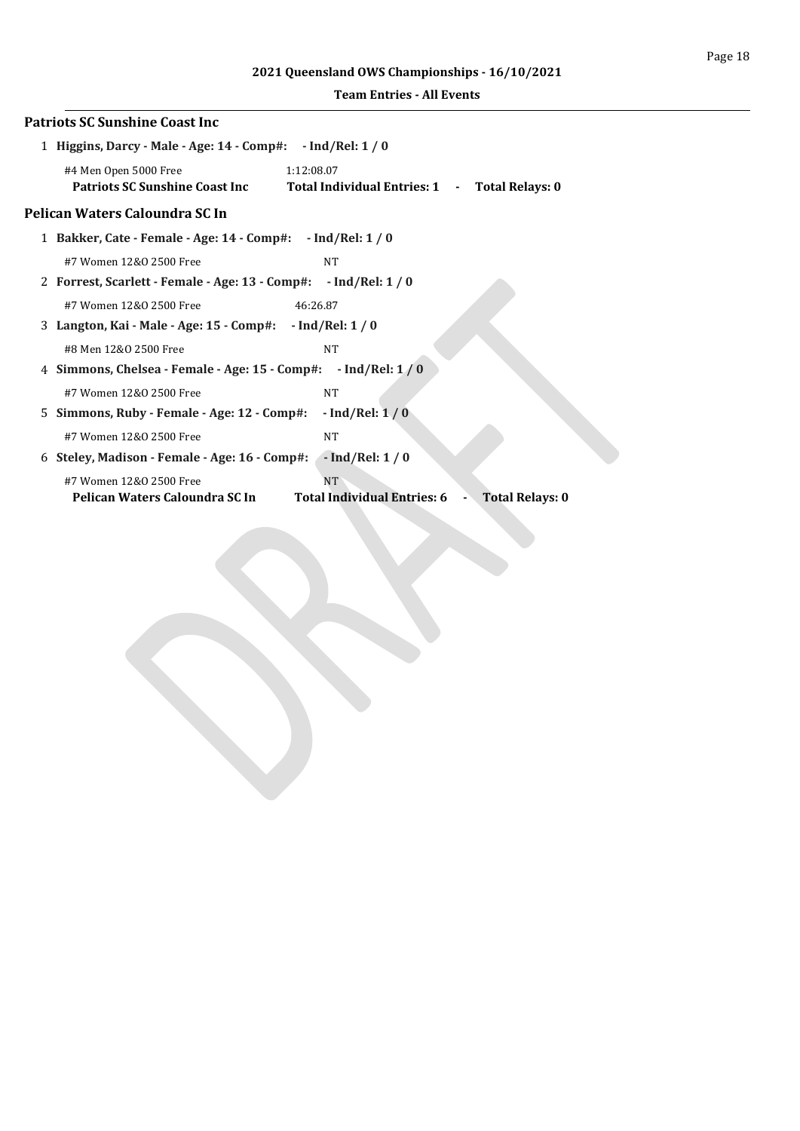# **2021 Queensland OWS Championships - 16/10/2021**

|   | <b>Patriots SC Sunshine Coast Inc</b>                                                                                            |
|---|----------------------------------------------------------------------------------------------------------------------------------|
|   | 1 Higgins, Darcy - Male - Age: 14 - Comp#: - Ind/Rel: 1 / 0                                                                      |
|   | #4 Men Open 5000 Free<br>1:12:08.07<br>Patriots SC Sunshine Coast Inc<br>Total Individual Entries: 1 -<br><b>Total Relays: 0</b> |
|   | Pelican Waters Caloundra SC In                                                                                                   |
|   | 1 Bakker, Cate - Female - Age: 14 - Comp#: - Ind/Rel: 1 / 0                                                                      |
|   | #7 Women 12&0 2500 Free<br><b>NT</b>                                                                                             |
|   | 2 Forrest, Scarlett - Female - Age: 13 - Comp#: - Ind/Rel: 1 / 0                                                                 |
|   | #7 Women 12&0 2500 Free<br>46:26.87                                                                                              |
|   | 3 Langton, Kai - Male - Age: 15 - Comp#: - Ind/Rel: 1 / 0                                                                        |
|   | #8 Men 12&0 2500 Free<br><b>NT</b>                                                                                               |
|   | 4 Simmons, Chelsea - Female - Age: 15 - Comp#: - Ind/Rel: 1/0                                                                    |
|   | #7 Women 12&0 2500 Free<br><b>NT</b>                                                                                             |
|   | $-$ Ind/Rel: $1/0$<br>5 Simmons, Ruby - Female - Age: 12 - Comp#:                                                                |
|   | #7 Women 12&0 2500 Free<br><b>NT</b>                                                                                             |
| 6 | $-$ Ind/Rel: $1/0$<br>Steley, Madison - Female - Age: 16 - Comp#:                                                                |
|   | <b>NT</b><br>#7 Women 12&0 2500 Free                                                                                             |
|   | <b>Total Individual Entries: 6</b><br>Pelican Waters Caloundra SC In<br><b>Total Relays: 0</b>                                   |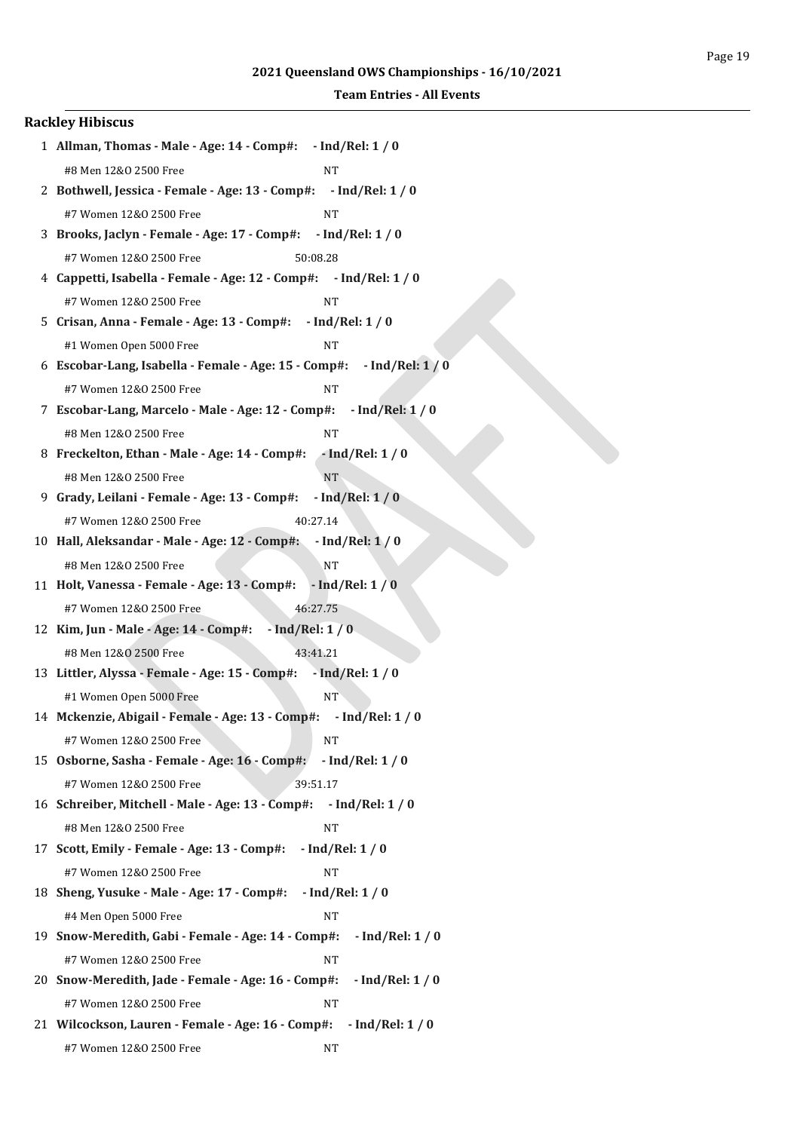| <b>Rackley Hibiscus</b>                                                  |
|--------------------------------------------------------------------------|
| 1 Allman, Thomas - Male - Age: 14 - Comp#: - Ind/Rel: 1 / 0              |
| #8 Men 12&0 2500 Free<br><b>NT</b>                                       |
| 2 Bothwell, Jessica - Female - Age: 13 - Comp#: - Ind/Rel: 1 / 0         |
| #7 Women 12&0 2500 Free<br>NT                                            |
| 3 Brooks, Jaclyn - Female - Age: 17 - Comp#: - Ind/Rel: 1 / 0            |
| #7 Women 12&0 2500 Free<br>50:08.28                                      |
| 4 Cappetti, Isabella - Female - Age: 12 - Comp#: - Ind/Rel: 1 / 0        |
| #7 Women 12&0 2500 Free<br>NT                                            |
| 5 Crisan, Anna - Female - Age: 13 - Comp#: - Ind/Rel: 1 / 0              |
| #1 Women Open 5000 Free<br><b>NT</b>                                     |
| 6 Escobar-Lang, Isabella - Female - Age: 15 - Comp#: - Ind/Rel: 1 / 0    |
| #7 Women 12&0 2500 Free<br>NT                                            |
| 7 Escobar-Lang, Marcelo - Male - Age: 12 - Comp#:<br>$-$ Ind/Rel: $1/0$  |
| #8 Men 12&0 2500 Free<br><b>NT</b>                                       |
| 8 Freckelton, Ethan - Male - Age: 14 - Comp#:<br>$-$ Ind/Rel: 1 / 0      |
| #8 Men 12&0 2500 Free<br><b>NT</b>                                       |
| $-$ Ind/Rel: $1/0$<br>9 Grady, Leilani - Female - Age: 13 - Comp#:       |
| #7 Women 12&0 2500 Free<br>40:27.14                                      |
| 10 Hall, Aleksandar - Male - Age: 12 - Comp#:<br>$-$ Ind/Rel: $1/0$      |
| <b>NT</b><br>#8 Men 12&0 2500 Free                                       |
| 11 Holt, Vanessa - Female - Age: 13 - Comp#:<br>$-$ Ind/Rel: $1/0$       |
| #7 Women 12&0 2500 Free<br>46:27.75                                      |
| 12 Kim, Jun - Male - Age: 14 - Comp#: - Ind/Rel: 1 / 0                   |
| 43:41.21<br>#8 Men 12&0 2500 Free                                        |
| 13 Littler, Alyssa - Female - Age: 15 - Comp#:<br>$-$ Ind/Rel: 1 / 0     |
| #1 Women Open 5000 Free<br>NT                                            |
| 14 Mckenzie, Abigail - Female - Age: 13 - Comp#: - Ind/Rel: 1 / 0        |
| <b>NT</b><br>#7 Women 12&0 2500 Free                                     |
| 15 Osborne, Sasha - Female - Age: 16 - Comp#:<br>$-$ Ind/Rel: 1 / 0      |
| #7 Women 12&0 2500 Free<br>39:51.17                                      |
| 16 Schreiber, Mitchell - Male - Age: 13 - Comp#: - Ind/Rel: 1 / 0        |
| #8 Men 12&0 2500 Free<br><b>NT</b>                                       |
| 17 Scott, Emily - Female - Age: 13 - Comp#:<br>$-$ Ind/Rel: 1 / 0        |
| #7 Women 12&0 2500 Free<br><b>NT</b>                                     |
| 18 Sheng, Yusuke - Male - Age: 17 - Comp#:<br>$-$ Ind/Rel: 1 / 0         |
| #4 Men Open 5000 Free<br>NT                                              |
| 19 Snow-Meredith, Gabi - Female - Age: 14 - Comp#:<br>$-$ Ind/Rel: 1 / 0 |
| #7 Women 12&0 2500 Free<br>NT                                            |
| 20 Snow-Meredith, Jade - Female - Age: 16 - Comp#:<br>$-$ Ind/Rel: 1 / 0 |
| #7 Women 12&0 2500 Free<br><b>NT</b>                                     |
| 21 Wilcockson, Lauren - Female - Age: 16 - Comp#: - Ind/Rel: 1 / 0       |
| #7 Women 12&0 2500 Free<br>NΤ                                            |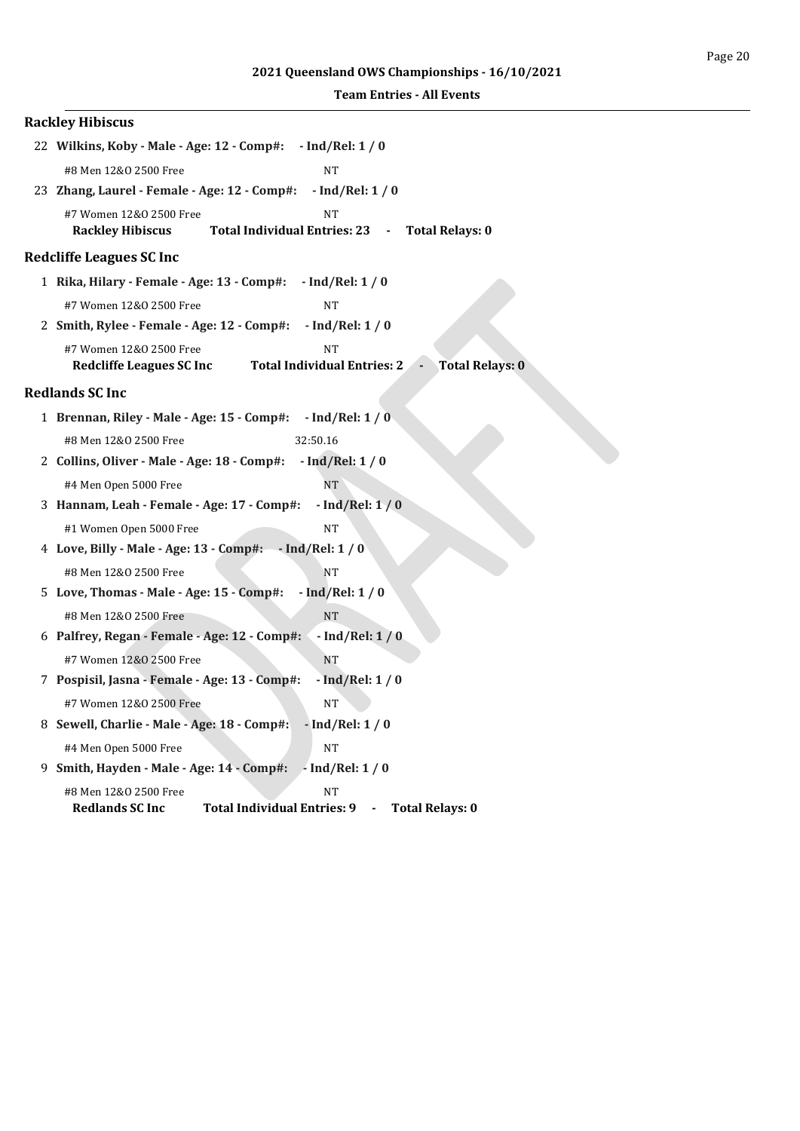| <b>Rackley Hibiscus</b>                                                                                                           |
|-----------------------------------------------------------------------------------------------------------------------------------|
| 22 Wilkins, Koby - Male - Age: 12 - Comp#:<br>$-$ Ind/Rel: 1 / 0                                                                  |
| <b>NT</b><br>#8 Men 12&0 2500 Free                                                                                                |
| 23 Zhang, Laurel - Female - Age: 12 - Comp#:<br>$-$ Ind/Rel: 1 / 0                                                                |
| #7 Women 12&0 2500 Free<br><b>NT</b><br>Total Individual Entries: 23 - Total Relays: 0<br><b>Rackley Hibiscus</b>                 |
| <b>Redcliffe Leagues SC Inc</b>                                                                                                   |
| 1 Rika, Hilary - Female - Age: 13 - Comp#:<br>$-$ Ind/Rel: 1 / 0                                                                  |
| #7 Women 12&0 2500 Free<br><b>NT</b>                                                                                              |
| $-$ Ind/Rel: 1 / 0<br>2 Smith, Rylee - Female - Age: 12 - Comp#:                                                                  |
| #7 Women 12&0 2500 Free<br><b>NT</b><br><b>Total Individual Entries: 2</b><br><b>Total Relays: 0</b><br>Redcliffe Leagues SC Inc  |
| <b>Redlands SC Inc</b>                                                                                                            |
| 1 Brennan, Riley - Male - Age: 15 - Comp#:<br>$-$ Ind/Rel: 1 / 0                                                                  |
| 32:50.16<br>#8 Men 12&0 2500 Free                                                                                                 |
| 2 Collins, Oliver - Male - Age: 18 - Comp#:<br>$-$ Ind/Rel: $1/0$                                                                 |
| #4 Men Open 5000 Free<br><b>NT</b>                                                                                                |
| $-$ Ind/Rel: $1/0$<br>3 Hannam, Leah - Female - Age: 17 - Comp#:                                                                  |
| #1 Women Open 5000 Free<br><b>NT</b>                                                                                              |
| 4 Love, Billy - Male - Age: 13 - Comp#:<br>$-$ Ind/Rel: 1 / 0                                                                     |
| #8 Men 12&0 2500 Free<br>NT                                                                                                       |
| $-$ Ind/Rel: 1 / 0<br>5 Love, Thomas - Male - Age: 15 - Comp#:                                                                    |
| <b>NT</b><br>#8 Men 12&0 2500 Free                                                                                                |
| 6 Palfrey, Regan - Female - Age: 12 - Comp#:<br>$-$ Ind/Rel: $1/0$                                                                |
| #7 Women 12&0 2500 Free<br>NT                                                                                                     |
| 7 Pospisil, Jasna - Female - Age: 13 - Comp#:<br>$-$ Ind/Rel: $1/0$                                                               |
| <b>NT</b><br>#7 Women 12&0 2500 Free                                                                                              |
| 8 Sewell, Charlie - Male - Age: 18 - Comp#:<br>$-$ Ind/Rel: $1/0$                                                                 |
| #4 Men Open 5000 Free<br><b>NT</b>                                                                                                |
| $-$ Ind/Rel: $1/0$<br>9 Smith, Hayden - Male - Age: 14 - Comp#:                                                                   |
| #8 Men 12&0 2500 Free<br><b>NT</b><br><b>Total Individual Entries: 9</b><br><b>Redlands SC Inc</b><br><b>Total Relays: 0</b><br>۰ |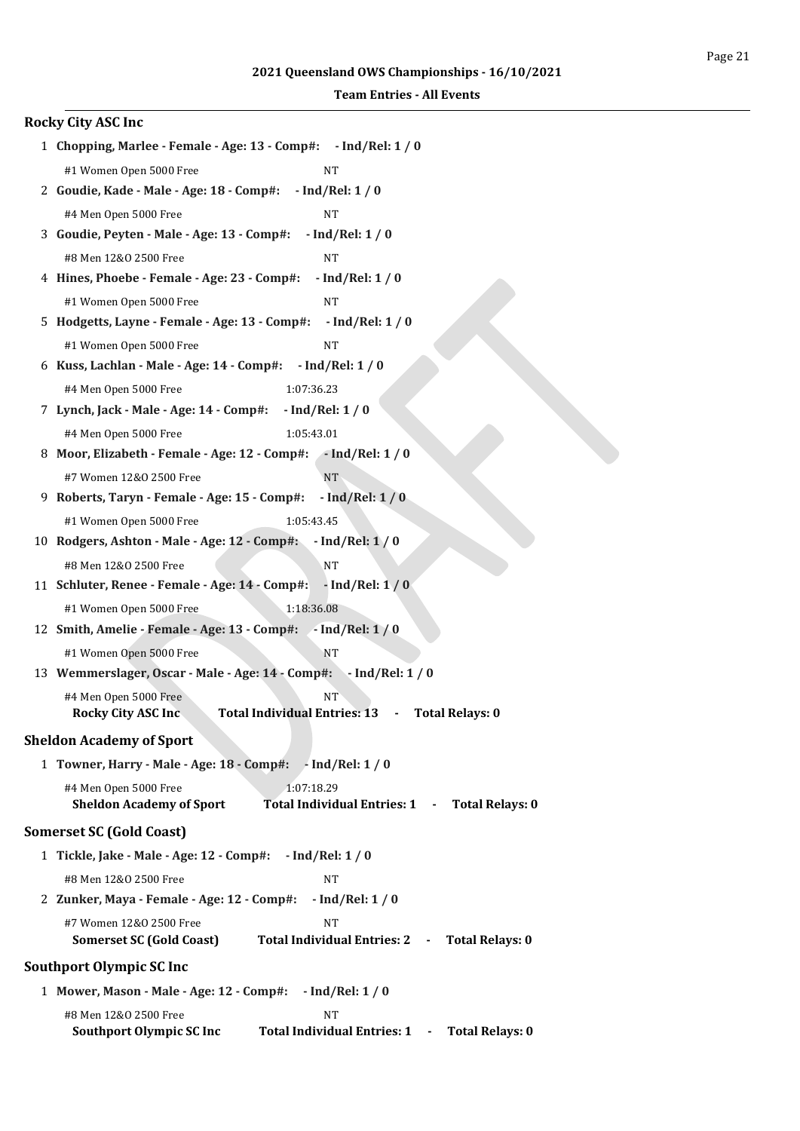| <b>Rocky City ASC Inc</b>                                                                                                          |
|------------------------------------------------------------------------------------------------------------------------------------|
| 1 Chopping, Marlee - Female - Age: 13 - Comp#: - Ind/Rel: 1 / 0                                                                    |
| #1 Women Open 5000 Free<br><b>NT</b>                                                                                               |
| $-$ Ind/Rel: $1/0$<br>2 Goudie, Kade - Male - Age: 18 - Comp#:                                                                     |
| #4 Men Open 5000 Free<br><b>NT</b>                                                                                                 |
| 3 Goudie, Peyten - Male - Age: 13 - Comp#:<br>$-$ Ind/Rel: 1 / 0                                                                   |
| #8 Men 12&0 2500 Free<br><b>NT</b>                                                                                                 |
| 4 Hines, Phoebe - Female - Age: 23 - Comp#:<br>$-$ Ind/Rel: 1 / 0                                                                  |
| #1 Women Open 5000 Free<br><b>NT</b>                                                                                               |
| 5 Hodgetts, Layne - Female - Age: 13 - Comp#:<br>$-$ Ind/Rel: $1/0$                                                                |
| #1 Women Open 5000 Free<br><b>NT</b>                                                                                               |
| 6 Kuss, Lachlan - Male - Age: 14 - Comp#:<br>$-$ Ind/Rel: 1 / 0                                                                    |
| #4 Men Open 5000 Free<br>1:07:36.23                                                                                                |
| 7 Lynch, Jack - Male - Age: 14 - Comp#:<br>$-$ Ind/Rel: 1 / 0                                                                      |
| #4 Men Open 5000 Free<br>1:05:43.01                                                                                                |
| 8 Moor, Elizabeth - Female - Age: 12 - Comp#: - Ind/Rel: 1 / 0                                                                     |
| #7 Women 12&0 2500 Free<br><b>NT</b>                                                                                               |
| $-$ Ind/Rel: $1/0$<br>9 Roberts, Taryn - Female - Age: 15 - Comp#:                                                                 |
| 1:05:43.45<br>#1 Women Open 5000 Free                                                                                              |
| 10 Rodgers, Ashton - Male - Age: 12 - Comp#:<br>$-$ Ind/Rel: $1/0$                                                                 |
| #8 Men 12&0 2500 Free<br><b>NT</b>                                                                                                 |
| 11 Schluter, Renee - Female - Age: 14 - Comp#:<br>$-$ Ind/Rel: $1/0$                                                               |
| #1 Women Open 5000 Free<br>1:18:36.08                                                                                              |
| 12 Smith, Amelie - Female - Age: 13 - Comp#: - Ind/Rel: 1 / 0                                                                      |
| #1 Women Open 5000 Free<br>NT                                                                                                      |
| 13 Wemmerslager, Oscar - Male - Age: 14 - Comp#: - Ind/Rel: 1 / 0                                                                  |
| NT <sup></sup><br>#4 Men Open 5000 Free<br>Total Individual Entries: 13 - Total Relays: 0<br><b>Rocky City ASC Inc.</b>            |
|                                                                                                                                    |
| <b>Sheldon Academy of Sport</b>                                                                                                    |
| 1 Towner, Harry - Male - Age: 18 - Comp#: - Ind/Rel: 1 / 0                                                                         |
| 1:07:18.29<br>#4 Men Open 5000 Free<br><b>Sheldon Academy of Sport</b><br>Total Individual Entries: 1 - Total Relays: 0            |
| <b>Somerset SC (Gold Coast)</b>                                                                                                    |
| 1 Tickle, Jake - Male - Age: 12 - Comp#:<br>$-$ Ind/Rel: 1 / 0                                                                     |
| #8 Men 12&0 2500 Free<br><b>NT</b>                                                                                                 |
| 2 Zunker, Maya - Female - Age: 12 - Comp#:<br>$-$ Ind/Rel: 1 / 0                                                                   |
| #7 Women 12&0 2500 Free<br><b>NT</b><br><b>Somerset SC (Gold Coast)</b><br>Total Individual Entries: 2 -<br><b>Total Relays: 0</b> |
| <b>Southport Olympic SC Inc</b>                                                                                                    |
| 1 Mower, Mason - Male - Age: 12 - Comp#: - Ind/Rel: 1 / 0                                                                          |
| #8 Men 12&0 2500 Free<br><b>NT</b>                                                                                                 |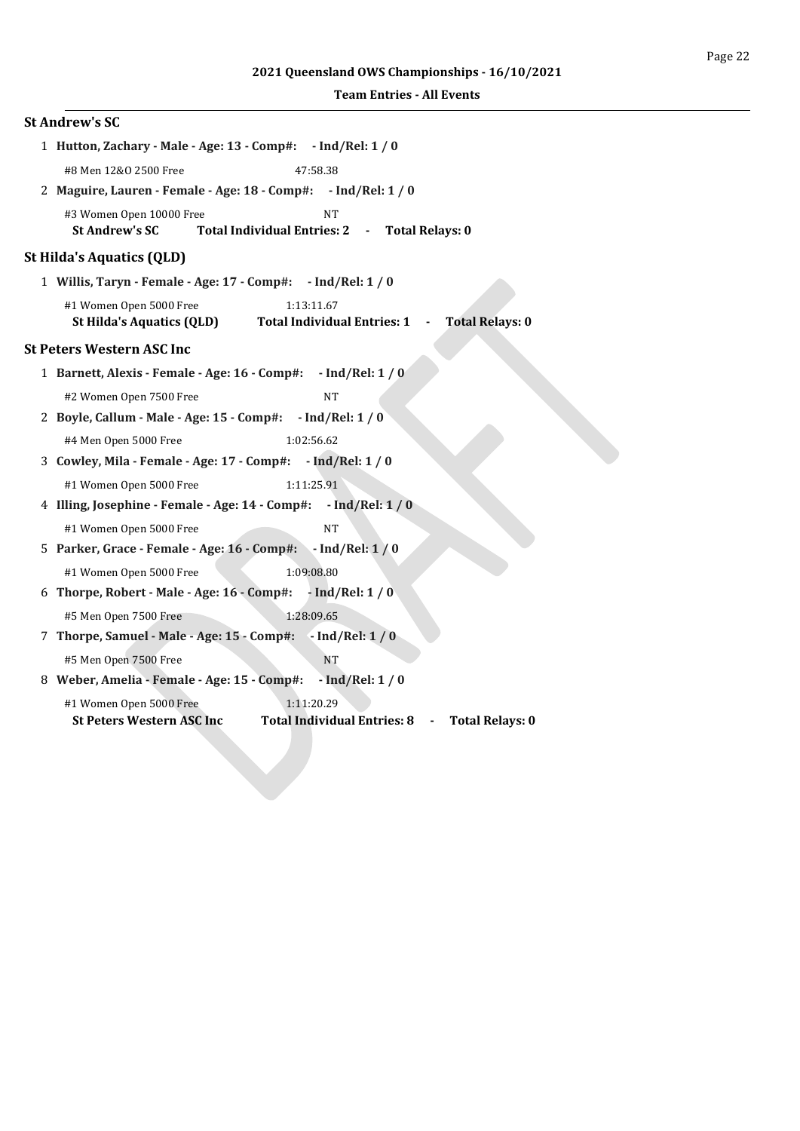| <b>St Andrew's SC</b>                                                                                                                               |  |  |  |  |  |  |
|-----------------------------------------------------------------------------------------------------------------------------------------------------|--|--|--|--|--|--|
| 1 Hutton, Zachary - Male - Age: 13 - Comp#: - Ind/Rel: 1 / 0                                                                                        |  |  |  |  |  |  |
| #8 Men 12&0 2500 Free<br>47:58.38                                                                                                                   |  |  |  |  |  |  |
| 2 Maguire, Lauren - Female - Age: 18 - Comp#: - Ind/Rel: 1 / 0                                                                                      |  |  |  |  |  |  |
| #3 Women Open 10000 Free<br><b>NT</b><br>Total Individual Entries: 2 -<br><b>St Andrew's SC</b><br><b>Total Relays: 0</b>                           |  |  |  |  |  |  |
| <b>St Hilda's Aquatics (QLD)</b>                                                                                                                    |  |  |  |  |  |  |
| 1 Willis, Taryn - Female - Age: 17 - Comp#: - Ind/Rel: 1 / 0                                                                                        |  |  |  |  |  |  |
| #1 Women Open 5000 Free<br>1:13:11.67<br><b>St Hilda's Aquatics (QLD)</b><br><b>Total Individual Entries: 1</b><br><b>Total Relays: 0</b><br>$\sim$ |  |  |  |  |  |  |
| <b>St Peters Western ASC Inc</b>                                                                                                                    |  |  |  |  |  |  |
| 1 Barnett, Alexis - Female - Age: 16 - Comp#: - Ind/Rel: 1 / 0                                                                                      |  |  |  |  |  |  |
| #2 Women Open 7500 Free<br><b>NT</b>                                                                                                                |  |  |  |  |  |  |
| 2 Boyle, Callum - Male - Age: 15 - Comp#: - Ind/Rel: 1 / 0                                                                                          |  |  |  |  |  |  |
| #4 Men Open 5000 Free<br>1:02:56.62                                                                                                                 |  |  |  |  |  |  |
| 3 Cowley, Mila - Female - Age: 17 - Comp#: - Ind/Rel: 1 / 0                                                                                         |  |  |  |  |  |  |
| #1 Women Open 5000 Free<br>1:11:25.91                                                                                                               |  |  |  |  |  |  |
| 4 Illing, Josephine - Female - Age: 14 - Comp#: - Ind/Rel: 1 / 0                                                                                    |  |  |  |  |  |  |
| #1 Women Open 5000 Free<br><b>NT</b>                                                                                                                |  |  |  |  |  |  |
| 5 Parker, Grace - Female - Age: 16 - Comp#: - Ind/Rel: 1 / 0                                                                                        |  |  |  |  |  |  |
| #1 Women Open 5000 Free<br>1:09:08.80                                                                                                               |  |  |  |  |  |  |
| 6 Thorpe, Robert - Male - Age: 16 - Comp#:<br>- Ind/Rel: 1 / 0                                                                                      |  |  |  |  |  |  |
| 1:28:09.65<br>#5 Men Open 7500 Free                                                                                                                 |  |  |  |  |  |  |
| 7 Thorpe, Samuel - Male - Age: 15 - Comp#:<br>$-$ Ind/Rel: $1/0$                                                                                    |  |  |  |  |  |  |
| #5 Men Open 7500 Free<br><b>NT</b>                                                                                                                  |  |  |  |  |  |  |
| 8 Weber, Amelia - Female - Age: 15 - Comp#:<br>$-$ Ind/Rel: 1 / 0                                                                                   |  |  |  |  |  |  |
| 1:11:20.29<br>#1 Women Open 5000 Free<br><b>St Peters Western ASC Inc</b><br>Total Individual Entries: 8 -<br><b>Total Relays: 0</b>                |  |  |  |  |  |  |
|                                                                                                                                                     |  |  |  |  |  |  |
|                                                                                                                                                     |  |  |  |  |  |  |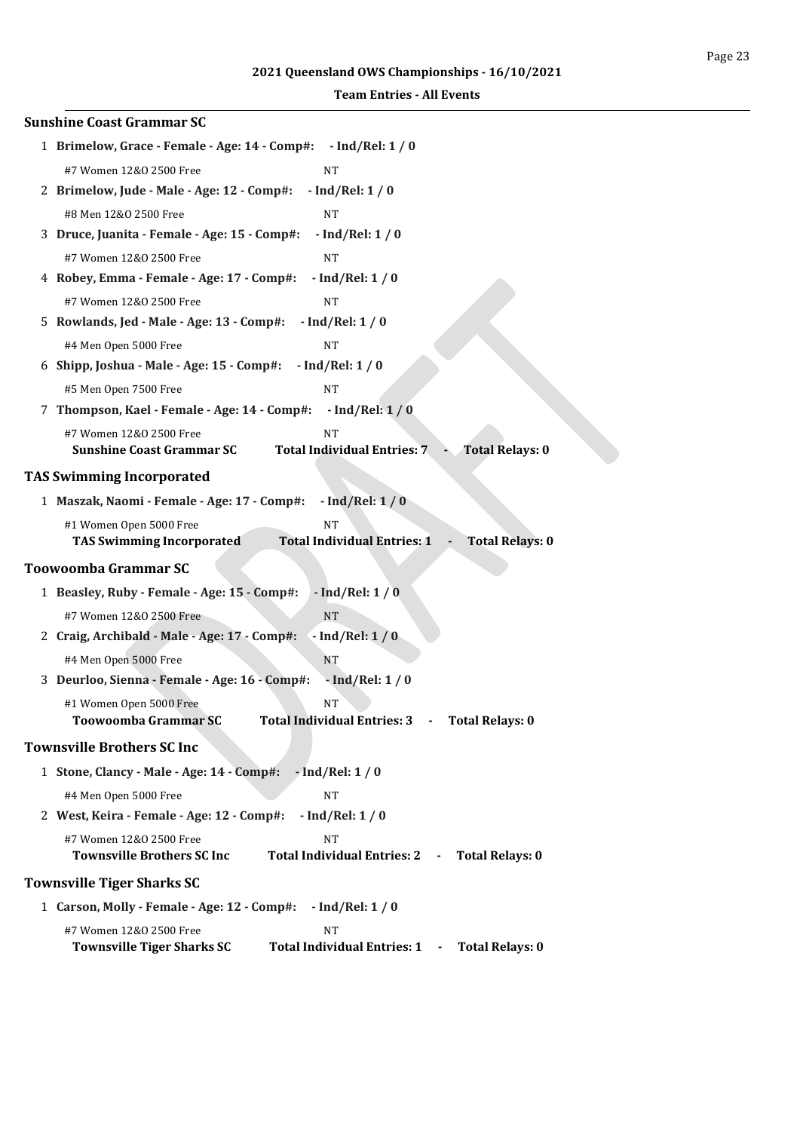| <b>Sunshine Coast Grammar SC</b>                                                                                             |  |  |  |
|------------------------------------------------------------------------------------------------------------------------------|--|--|--|
| 1 Brimelow, Grace - Female - Age: 14 - Comp#: - Ind/Rel: 1 / 0                                                               |  |  |  |
| #7 Women 12&0 2500 Free<br><b>NT</b>                                                                                         |  |  |  |
| 2 Brimelow, Jude - Male - Age: 12 - Comp#:<br>$-$ Ind/Rel: $1/0$                                                             |  |  |  |
| #8 Men 12&0 2500 Free<br><b>NT</b>                                                                                           |  |  |  |
| 3 Druce, Juanita - Female - Age: 15 - Comp#:<br>$-$ Ind/Rel: $1/0$                                                           |  |  |  |
| #7 Women 12&0 2500 Free<br><b>NT</b>                                                                                         |  |  |  |
| 4 Robey, Emma - Female - Age: 17 - Comp#:<br>$-$ Ind/Rel: $1/0$                                                              |  |  |  |
| #7 Women 12&0 2500 Free<br><b>NT</b>                                                                                         |  |  |  |
| $-$ Ind/Rel: $1/0$<br>5 Rowlands, Jed - Male - Age: 13 - Comp#:                                                              |  |  |  |
| #4 Men Open 5000 Free<br><b>NT</b>                                                                                           |  |  |  |
| $-$ Ind/Rel: $1/0$<br>6 Shipp, Joshua - Male - Age: 15 - Comp#:                                                              |  |  |  |
| #5 Men Open 7500 Free<br><b>NT</b>                                                                                           |  |  |  |
| 7 Thompson, Kael - Female - Age: 14 - Comp#:<br>$-$ Ind/Rel: $1/0$                                                           |  |  |  |
| #7 Women 12&0 2500 Free<br><b>NT</b>                                                                                         |  |  |  |
| <b>Sunshine Coast Grammar SC</b><br><b>Total Individual Entries: 7</b><br><b>Total Relays: 0</b>                             |  |  |  |
| <b>TAS Swimming Incorporated</b>                                                                                             |  |  |  |
| $-$ Ind/Rel: 1 / 0<br>1 Maszak, Naomi - Female - Age: 17 - Comp#:                                                            |  |  |  |
| #1 Women Open 5000 Free<br><b>NT</b>                                                                                         |  |  |  |
| <b>Total Individual Entries: 1</b><br><b>TAS Swimming Incorporated</b><br><b>Total Relays: 0</b><br>$\overline{\phantom{a}}$ |  |  |  |
| <b>Toowoomba Grammar SC</b>                                                                                                  |  |  |  |
| 1 Beasley, Ruby - Female - Age: 15 - Comp#:<br>$-$ Ind/Rel: $1/0$                                                            |  |  |  |
| #7 Women 12&0 2500 Free<br><b>NT</b>                                                                                         |  |  |  |
| 2 Craig, Archibald - Male - Age: 17 - Comp#:<br>$-$ Ind/Rel: $1/0$                                                           |  |  |  |
| #4 Men Open 5000 Free<br><b>NT</b>                                                                                           |  |  |  |
| 3 Deurloo, Sienna - Female - Age: 16 - Comp#:<br>$-$ Ind/Rel: $1/0$                                                          |  |  |  |
| #1 Women Open 5000 Free<br><b>NT</b>                                                                                         |  |  |  |
| Toowoomba Grammar SC<br>Total Individual Entries: 3      -     Total Relays: 0                                               |  |  |  |
| <b>Townsville Brothers SC Inc</b>                                                                                            |  |  |  |
| 1 Stone, Clancy - Male - Age: 14 - Comp#:<br>$-$ Ind/Rel: $1/0$                                                              |  |  |  |
| #4 Men Open 5000 Free<br><b>NT</b>                                                                                           |  |  |  |
| 2 West, Keira - Female - Age: 12 - Comp#:<br>$-$ Ind/Rel: 1 / 0                                                              |  |  |  |
| #7 Women 12&0 2500 Free<br><b>NT</b>                                                                                         |  |  |  |
| <b>Townsville Brothers SC Inc</b><br>Total Individual Entries: 2 -<br><b>Total Relays: 0</b>                                 |  |  |  |
| <b>Townsville Tiger Sharks SC</b>                                                                                            |  |  |  |
| 1 Carson, Molly - Female - Age: 12 - Comp#:<br>$-$ Ind/Rel: 1 / 0                                                            |  |  |  |
| #7 Women 12&0 2500 Free<br><b>NT</b>                                                                                         |  |  |  |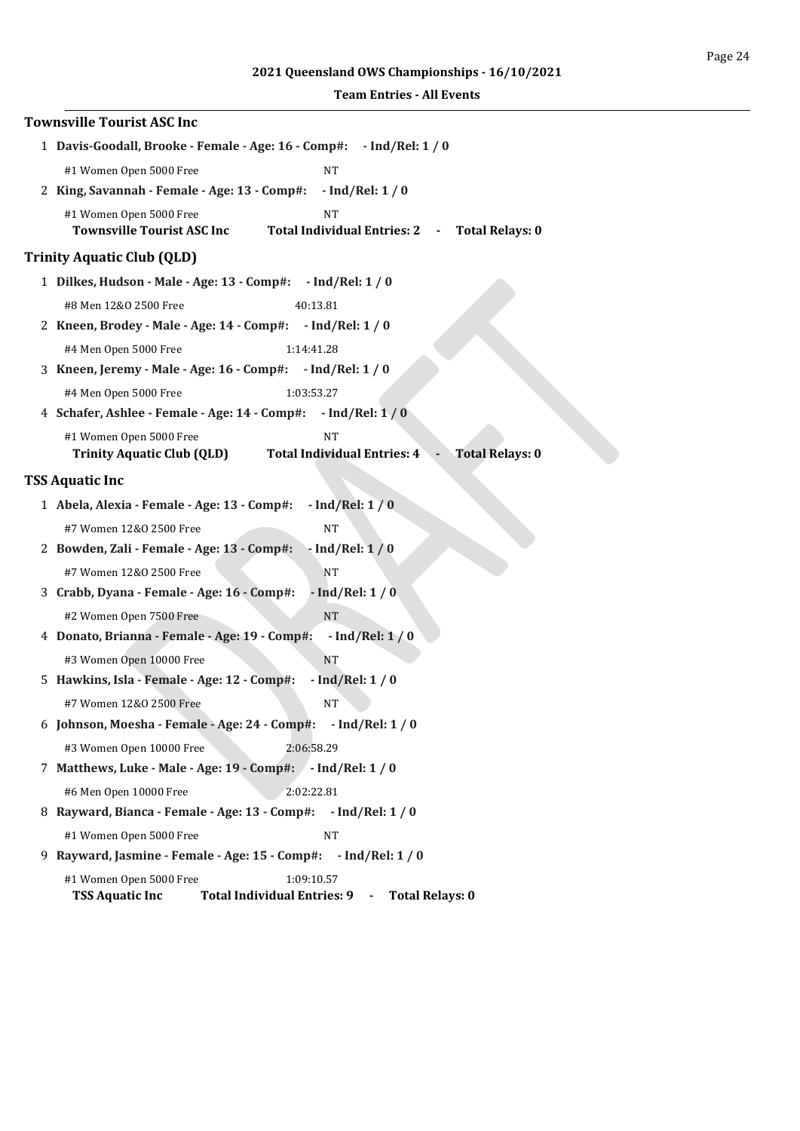# **2021 Queensland OWS Championships - 16/10/2021**

| <b>Townsville Tourist ASC Inc</b>                                                                                                                           |
|-------------------------------------------------------------------------------------------------------------------------------------------------------------|
| 1 Davis-Goodall, Brooke - Female - Age: 16 - Comp#: - Ind/Rel: 1 / 0                                                                                        |
| #1 Women Open 5000 Free<br><b>NT</b>                                                                                                                        |
| 2 King, Savannah - Female - Age: 13 - Comp#:<br>$-$ Ind/Rel: 1 / 0                                                                                          |
| #1 Women Open 5000 Free<br><b>NT</b><br><b>Townsville Tourist ASC Inc</b><br>Total Individual Entries: 2 -<br><b>Total Relays: 0</b>                        |
| <b>Trinity Aquatic Club (QLD)</b>                                                                                                                           |
| 1 Dilkes, Hudson - Male - Age: 13 - Comp#: - Ind/Rel: 1 / 0                                                                                                 |
| #8 Men 12&0 2500 Free<br>40:13.81                                                                                                                           |
| 2 Kneen, Brodey - Male - Age: 14 - Comp#: - Ind/Rel: 1 / 0                                                                                                  |
| #4 Men Open 5000 Free<br>1:14:41.28                                                                                                                         |
| 3 Kneen, Jeremy - Male - Age: 16 - Comp#: - Ind/Rel: 1 / 0                                                                                                  |
| #4 Men Open 5000 Free<br>1:03:53.27                                                                                                                         |
| 4 Schafer, Ashlee - Female - Age: 14 - Comp#:<br>$-$ Ind/Rel: $1/0$                                                                                         |
| #1 Women Open 5000 Free<br><b>NT</b>                                                                                                                        |
| <b>Trinity Aquatic Club (QLD)</b><br><b>Total Individual Entries: 4</b><br><b>Total Relays: 0</b>                                                           |
| <b>TSS Aquatic Inc</b>                                                                                                                                      |
| $-$ Ind/Rel: $1/0$<br>1 Abela, Alexia - Female - Age: 13 - Comp#:                                                                                           |
| #7 Women 12&0 2500 Free<br><b>NT</b>                                                                                                                        |
| $-$ Ind/Rel: $1/0$<br>2 Bowden, Zali - Female - Age: 13 - Comp#:                                                                                            |
| #7 Women 12&0 2500 Free<br>NT                                                                                                                               |
| $-$ Ind/Rel: $1/0$<br>3 Crabb, Dyana - Female - Age: 16 - Comp#:                                                                                            |
| $\rm{NT}$<br>#2 Women Open 7500 Free                                                                                                                        |
| $-$ Ind/Rel: $1/0$<br>4 Donato, Brianna - Female - Age: 19 - Comp#:                                                                                         |
| #3 Women Open 10000 Free<br><b>NT</b>                                                                                                                       |
| 5 Hawkins, Isla - Female - Age: 12 - Comp#:<br>$-$ Ind/Rel: $1/0$                                                                                           |
| #7 Women 12&0 2500 Free<br>NΤ                                                                                                                               |
| 6 Johnson, Moesha - Female - Age: 24 - Comp#: - Ind/Rel: 1 / 0                                                                                              |
| #3 Women Open 10000 Free<br>2:06:58.29                                                                                                                      |
| 7 Matthews, Luke - Male - Age: 19 - Comp#: - Ind/Rel: 1 / 0                                                                                                 |
| #6 Men Open 10000 Free<br>2:02:22.81                                                                                                                        |
| 8 Rayward, Bianca - Female - Age: 13 - Comp#: - Ind/Rel: 1 / 0                                                                                              |
| #1 Women Open 5000 Free<br><b>NT</b>                                                                                                                        |
| 9 Rayward, Jasmine - Female - Age: 15 - Comp#: - Ind/Rel: 1 / 0                                                                                             |
| #1 Women Open 5000 Free<br>1:09:10.57<br><b>TSS Aquatic Inc</b><br><b>Total Individual Entries: 9</b><br><b>Total Relays: 0</b><br>$\overline{\phantom{a}}$ |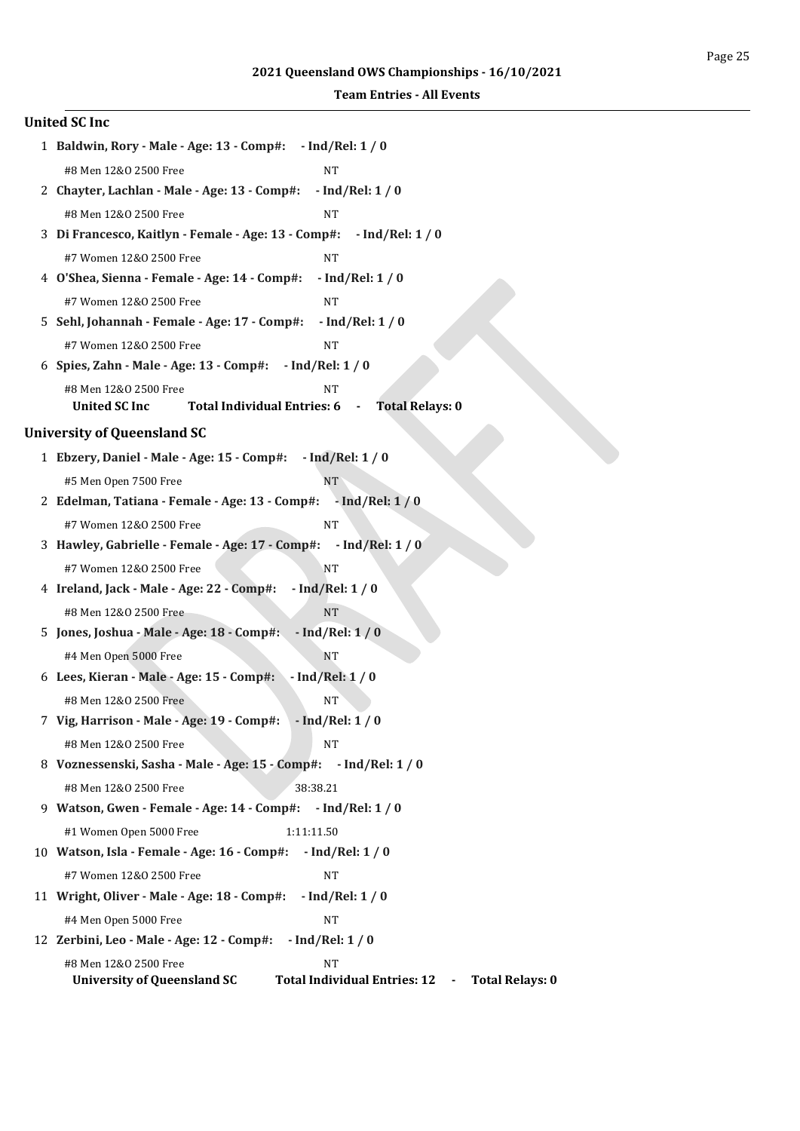|                                                                           | <b>United SC Inc</b>                                                                           |  |  |  |  |
|---------------------------------------------------------------------------|------------------------------------------------------------------------------------------------|--|--|--|--|
|                                                                           | 1 Baldwin, Rory - Male - Age: 13 - Comp#: - Ind/Rel: 1 / 0                                     |  |  |  |  |
|                                                                           | #8 Men 12&0 2500 Free<br><b>NT</b>                                                             |  |  |  |  |
|                                                                           | 2 Chayter, Lachlan - Male - Age: 13 - Comp#:<br>$-$ Ind/Rel: 1 / 0                             |  |  |  |  |
|                                                                           | #8 Men 12&0 2500 Free<br>NT                                                                    |  |  |  |  |
| 3 Di Francesco, Kaitlyn - Female - Age: 13 - Comp#:<br>$-$ Ind/Rel: 1 / 0 |                                                                                                |  |  |  |  |
|                                                                           | #7 Women 12&0 2500 Free<br><b>NT</b>                                                           |  |  |  |  |
|                                                                           | 4 O'Shea, Sienna - Female - Age: 14 - Comp#:<br>$-$ Ind/Rel: 1 / 0                             |  |  |  |  |
|                                                                           | #7 Women 12&0 2500 Free<br><b>NT</b>                                                           |  |  |  |  |
|                                                                           | 5 Sehl, Johannah - Female - Age: 17 - Comp#:<br>$-$ Ind/Rel: $1/0$                             |  |  |  |  |
|                                                                           | #7 Women 12&0 2500 Free<br><b>NT</b>                                                           |  |  |  |  |
|                                                                           | $-$ Ind/Rel: 1 / 0<br>6 Spies, Zahn - Male - Age: 13 - Comp#:                                  |  |  |  |  |
|                                                                           | #8 Men 12&0 2500 Free<br><b>NT</b>                                                             |  |  |  |  |
|                                                                           | <b>United SC Inc</b><br>Total Individual Entries: 6 -<br><b>Total Relays: 0</b>                |  |  |  |  |
|                                                                           | <b>University of Queensland SC</b>                                                             |  |  |  |  |
|                                                                           | 1 Ebzery, Daniel - Male - Age: 15 - Comp#: - Ind/Rel: 1 / 0                                    |  |  |  |  |
|                                                                           | #5 Men Open 7500 Free<br><b>NT</b>                                                             |  |  |  |  |
|                                                                           | 2 Edelman, Tatiana - Female - Age: 13 - Comp#: - Ind/Rel: 1 / 0                                |  |  |  |  |
|                                                                           | #7 Women 12&0 2500 Free<br><b>NT</b>                                                           |  |  |  |  |
|                                                                           | 3 Hawley, Gabrielle - Female - Age: 17 - Comp#:<br>$-$ Ind/Rel: $1/0$                          |  |  |  |  |
|                                                                           | #7 Women 12&0 2500 Free<br><b>NT</b>                                                           |  |  |  |  |
|                                                                           | 4 Ireland, Jack - Male - Age: 22 - Comp#:<br>$-$ Ind/Rel: 1 / 0                                |  |  |  |  |
|                                                                           | #8 Men 12&0 2500 Free<br><b>NT</b>                                                             |  |  |  |  |
|                                                                           | 5 Jones, Joshua - Male - Age: 18 - Comp#:<br>$-$ Ind/Rel: $1/0$                                |  |  |  |  |
|                                                                           | #4 Men Open 5000 Free<br><b>NT</b>                                                             |  |  |  |  |
|                                                                           | $-$ Ind/Rel: $1/0$<br>6 Lees, Kieran - Male - Age: 15 - Comp#:                                 |  |  |  |  |
|                                                                           | #8 Men 12&0 2500 Free<br>NT                                                                    |  |  |  |  |
|                                                                           | 7 Vig, Harrison - Male - Age: 19 - Comp#: - Ind/Rel: 1 / 0                                     |  |  |  |  |
|                                                                           | #8 Men 12&0 2500 Free<br><b>NT</b>                                                             |  |  |  |  |
|                                                                           | 8 Voznessenski, Sasha - Male - Age: 15 - Comp#: - Ind/Rel: 1 / 0                               |  |  |  |  |
|                                                                           | #8 Men 12&0 2500 Free<br>38:38.21                                                              |  |  |  |  |
|                                                                           | 9 Watson, Gwen - Female - Age: 14 - Comp#: - Ind/Rel: 1 / 0                                    |  |  |  |  |
|                                                                           | #1 Women Open 5000 Free<br>1:11:11.50                                                          |  |  |  |  |
|                                                                           | 10 Watson, Isla - Female - Age: 16 - Comp#:<br>$-$ Ind/Rel: 1 / 0                              |  |  |  |  |
|                                                                           | #7 Women 12&0 2500 Free<br><b>NT</b>                                                           |  |  |  |  |
|                                                                           | 11 Wright, Oliver - Male - Age: 18 - Comp#:<br>$-$ Ind/Rel: $1/0$                              |  |  |  |  |
|                                                                           | #4 Men Open 5000 Free<br><b>NT</b>                                                             |  |  |  |  |
|                                                                           | 12 Zerbini, Leo - Male - Age: 12 - Comp#:<br>$-$ Ind/Rel: 1 / 0                                |  |  |  |  |
|                                                                           | #8 Men 12&0 2500 Free<br>NT                                                                    |  |  |  |  |
|                                                                           | <b>University of Queensland SC</b><br>Total Individual Entries: 12 -<br><b>Total Relays: 0</b> |  |  |  |  |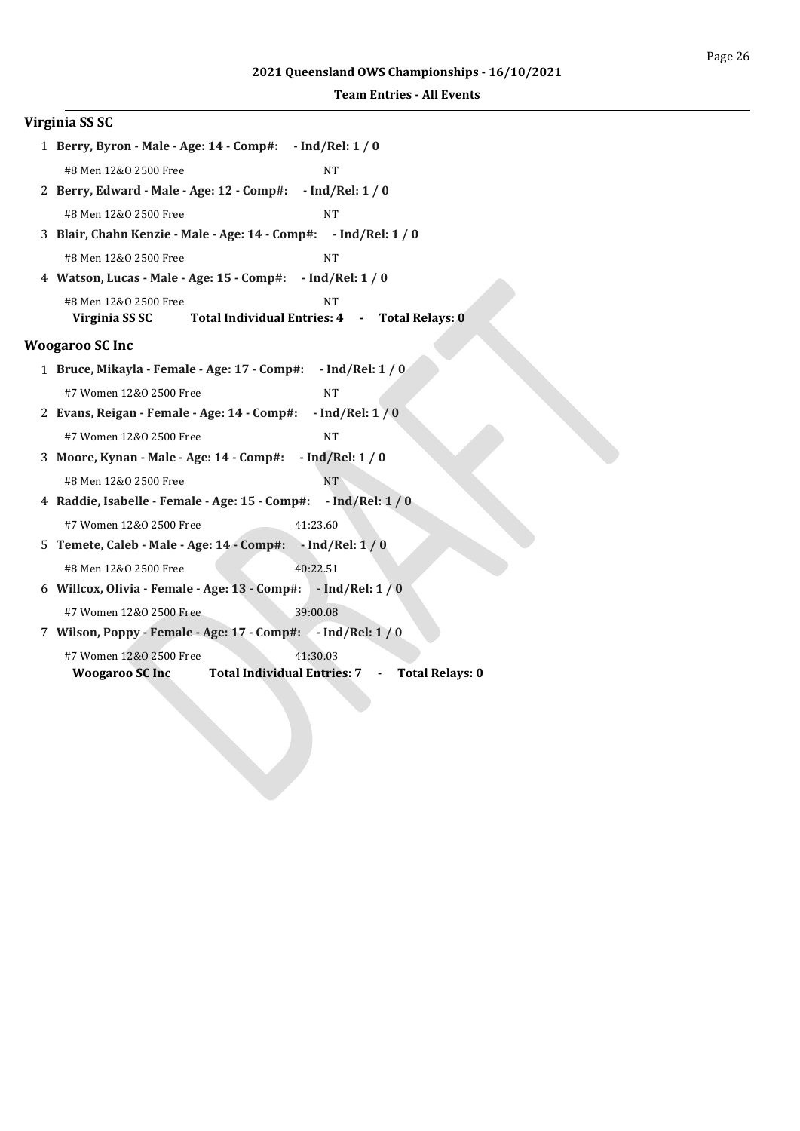| Virginia SS SC                                                                         |
|----------------------------------------------------------------------------------------|
| 1 Berry, Byron - Male - Age: 14 - Comp#: - Ind/Rel: 1 / 0                              |
| #8 Men 12&0 2500 Free<br>NT                                                            |
| 2 Berry, Edward - Male - Age: 12 - Comp#: - Ind/Rel: 1 / 0                             |
| #8 Men 12&0 2500 Free<br><b>NT</b>                                                     |
| 3 Blair, Chahn Kenzie - Male - Age: 14 - Comp#: - Ind/Rel: 1 / 0                       |
| #8 Men 12&0 2500 Free<br><b>NT</b>                                                     |
| 4 Watson, Lucas - Male - Age: 15 - Comp#: - Ind/Rel: 1 / 0                             |
| #8 Men 12&0 2500 Free<br><b>NT</b>                                                     |
| Total Individual Entries: 4 -<br>Virginia SS SC<br><b>Total Relays: 0</b>              |
| <b>Woogaroo SC Inc</b>                                                                 |
| 1 Bruce, Mikayla - Female - Age: 17 - Comp#: - Ind/Rel: 1 / 0                          |
| #7 Women 12&0 2500 Free<br><b>NT</b>                                                   |
| 2 Evans, Reigan - Female - Age: 14 - Comp#:<br>$-$ Ind/Rel: $1/0$                      |
| #7 Women 12&0 2500 Free<br><b>NT</b>                                                   |
| 3 Moore, Kynan - Male - Age: 14 - Comp#: - Ind/Rel: 1 / 0                              |
| <b>NT</b><br>#8 Men 12&0 2500 Free                                                     |
| $-$ Ind/Rel: $1/0$<br>4 Raddie, Isabelle - Female - Age: 15 - Comp#:                   |
| #7 Women 12&0 2500 Free<br>41:23.60                                                    |
| 5 Temete, Caleb - Male - Age: 14 - Comp#: - Ind/Rel: 1 / 0                             |
| 40:22.51<br>#8 Men 12&0 2500 Free                                                      |
| 6 Willcox, Olivia - Female - Age: 13 - Comp#:<br>$-$ Ind/Rel: 1/0                      |
| #7 Women 12&0 2500 Free<br>39:00.08                                                    |
| 7 Wilson, Poppy - Female - Age: 17 - Comp#: 4 Ind/Rel: 1/0                             |
| 41:30.03<br>#7 Women 12&0 2500 Free                                                    |
| <b>Total Individual Entries: 7</b><br><b>Total Relays: 0</b><br><b>Woogaroo SC Inc</b> |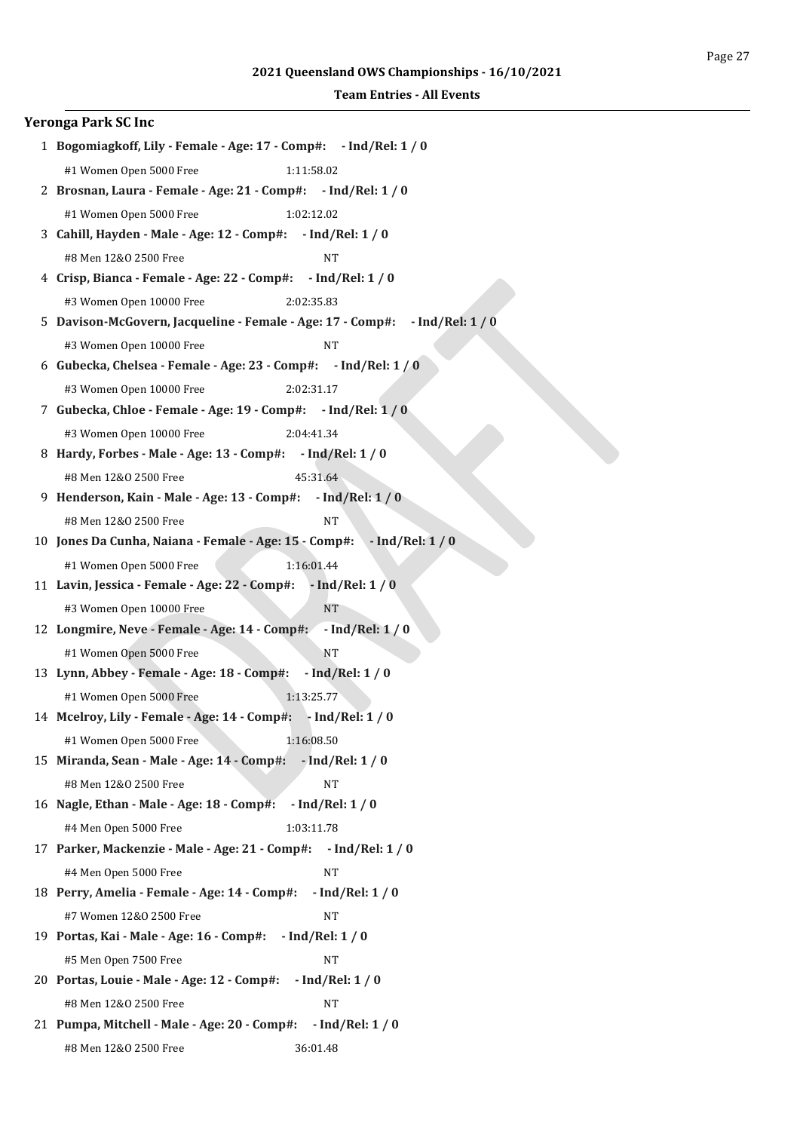| <b>Yeronga Park SC Inc</b>                                                                                |  |  |  |  |  |
|-----------------------------------------------------------------------------------------------------------|--|--|--|--|--|
| 1 Bogomiagkoff, Lily - Female - Age: 17 - Comp#: - Ind/Rel: 1 / 0                                         |  |  |  |  |  |
| #1 Women Open 5000 Free<br>1:11:58.02                                                                     |  |  |  |  |  |
| 2 Brosnan, Laura - Female - Age: 21 - Comp#: - Ind/Rel: 1 / 0                                             |  |  |  |  |  |
| #1 Women Open 5000 Free<br>1:02:12.02                                                                     |  |  |  |  |  |
| 3 Cahill, Hayden - Male - Age: 12 - Comp#: - Ind/Rel: 1 / 0                                               |  |  |  |  |  |
| #8 Men 12&0 2500 Free<br><b>NT</b>                                                                        |  |  |  |  |  |
| 4 Crisp, Bianca - Female - Age: 22 - Comp#: - Ind/Rel: 1 / 0                                              |  |  |  |  |  |
| #3 Women Open 10000 Free<br>2:02:35.83                                                                    |  |  |  |  |  |
| 5 Davison-McGovern, Jacqueline - Female - Age: 17 - Comp#: - Ind/Rel: 1 / 0                               |  |  |  |  |  |
| #3 Women Open 10000 Free<br><b>NT</b>                                                                     |  |  |  |  |  |
| 6 Gubecka, Chelsea - Female - Age: 23 - Comp#: - Ind/Rel: 1 / 0                                           |  |  |  |  |  |
| #3 Women Open 10000 Free<br>2:02:31.17                                                                    |  |  |  |  |  |
| 7 Gubecka, Chloe - Female - Age: 19 - Comp#: - Ind/Rel: 1 / 0                                             |  |  |  |  |  |
| #3 Women Open 10000 Free<br>2:04:41.34                                                                    |  |  |  |  |  |
| 8 Hardy, Forbes - Male - Age: 13 - Comp#: - Ind/Rel: 1 / 0                                                |  |  |  |  |  |
| 45:31.64<br>#8 Men 12&0 2500 Free                                                                         |  |  |  |  |  |
| 9 Henderson, Kain - Male - Age: 13 - Comp#: - Ind/Rel: 1 / 0                                              |  |  |  |  |  |
| #8 Men 12&0 2500 Free<br><b>NT</b>                                                                        |  |  |  |  |  |
| 10 Jones Da Cunha, Naiana - Female - Age: 15 - Comp#:<br>$-$ Ind/Rel: $1/0$                               |  |  |  |  |  |
| #1 Women Open 5000 Free<br>1:16:01.44                                                                     |  |  |  |  |  |
| 11 Lavin, Jessica - Female - Age: 22 - Comp#:<br>$-$ Ind/Rel: $1/0$                                       |  |  |  |  |  |
| <b>NT</b><br>#3 Women Open 10000 Free                                                                     |  |  |  |  |  |
| 12 Longmire, Neve - Female - Age: 14 - Comp#: - Ind/Rel: 1 / 0                                            |  |  |  |  |  |
| NT<br>#1 Women Open 5000 Free                                                                             |  |  |  |  |  |
| 13 Lynn, Abbey - Female - Age: 18 - Comp#:<br>$-$ Ind/Rel: $1/0$                                          |  |  |  |  |  |
| #1 Women Open 5000 Free<br>1:13:25.77                                                                     |  |  |  |  |  |
| 14 Mcelroy, Lily - Female - Age: 14 - Comp#: - Ind/Rel: 1 / 0                                             |  |  |  |  |  |
| #1 Women Open 5000 Free<br>1:16:08.50<br>15 Miranda, Sean - Male - Age: 14 - Comp#:<br>$-$ Ind/Rel: 1 / 0 |  |  |  |  |  |
|                                                                                                           |  |  |  |  |  |
| #8 Men 12&0 2500 Free<br>$_{\rm NT}$<br>$-$ Ind/Rel: 1 / 0<br>16 Nagle, Ethan - Male - Age: 18 - Comp#:   |  |  |  |  |  |
| #4 Men Open 5000 Free<br>1:03:11.78                                                                       |  |  |  |  |  |
| 17 Parker, Mackenzie - Male - Age: 21 - Comp#:<br>$-$ Ind/Rel: 1 / 0                                      |  |  |  |  |  |
| #4 Men Open 5000 Free<br><b>NT</b>                                                                        |  |  |  |  |  |
| 18 Perry, Amelia - Female - Age: 14 - Comp#:<br>$-$ Ind/Rel: 1 / 0                                        |  |  |  |  |  |
| #7 Women 12&0 2500 Free<br>$\rm{NT}$                                                                      |  |  |  |  |  |
| $-$ Ind/Rel: 1 / 0<br>19 Portas, Kai - Male - Age: 16 - Comp#:                                            |  |  |  |  |  |
| #5 Men Open 7500 Free<br>NT                                                                               |  |  |  |  |  |
| 20 Portas, Louie - Male - Age: 12 - Comp#:<br>$-$ Ind/Rel: $1/0$                                          |  |  |  |  |  |
| #8 Men 12&0 2500 Free<br><b>NT</b>                                                                        |  |  |  |  |  |
| 21 Pumpa, Mitchell - Male - Age: 20 - Comp#:<br>$-$ Ind/Rel: 1 / 0                                        |  |  |  |  |  |
| #8 Men 12&0 2500 Free<br>36:01.48                                                                         |  |  |  |  |  |